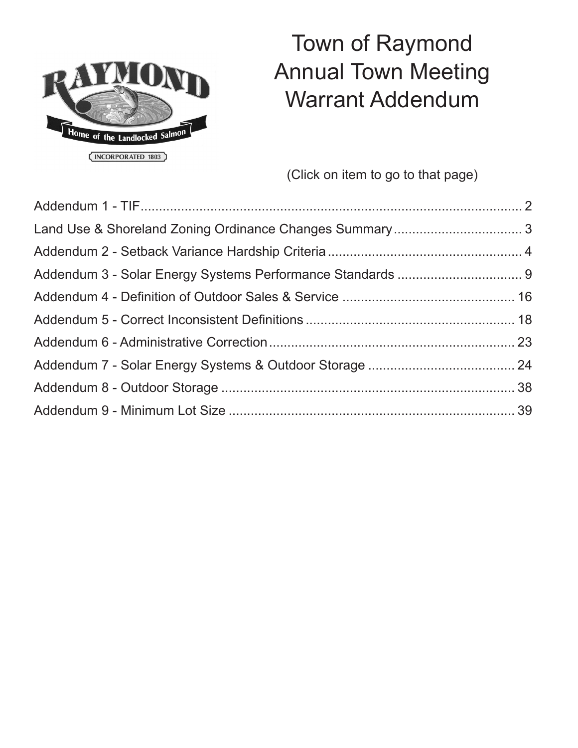

# Town of Raymond Annual Town Meeting Warrant Addendum

(Click on item to go to that page)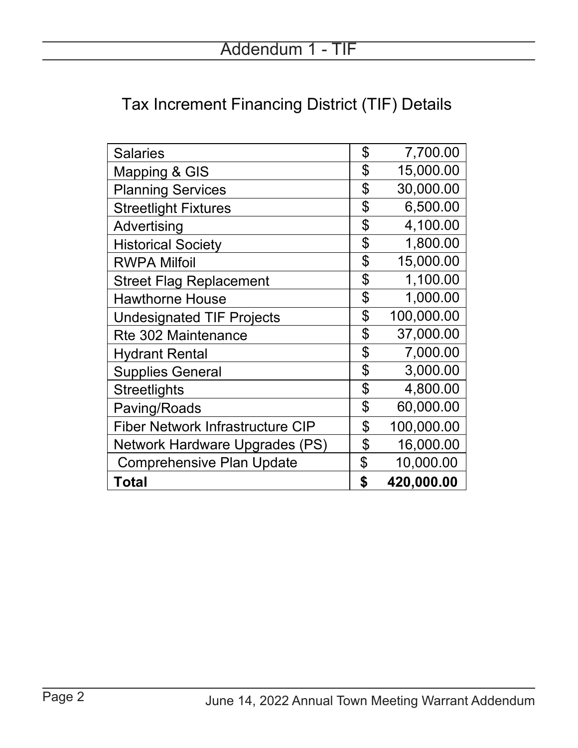## <span id="page-1-0"></span>Tax Increment Financing District (TIF) Details

| <b>Salaries</b>                  | \$<br>7,700.00   |
|----------------------------------|------------------|
| <b>Mapping &amp; GIS</b>         | \$<br>15,000.00  |
| <b>Planning Services</b>         | \$<br>30,000.00  |
| <b>Streetlight Fixtures</b>      | \$<br>6,500.00   |
| Advertising                      | \$<br>4,100.00   |
| <b>Historical Society</b>        | \$<br>1,800.00   |
| <b>RWPA Milfoil</b>              | \$<br>15,000.00  |
| <b>Street Flag Replacement</b>   | \$<br>1,100.00   |
| <b>Hawthorne House</b>           | \$<br>1,000.00   |
| <b>Undesignated TIF Projects</b> | \$<br>100,000.00 |
| <b>Rte 302 Maintenance</b>       | \$<br>37,000.00  |
| Hydrant Rental                   | \$<br>7,000.00   |
| <b>Supplies General</b>          | \$<br>3,000.00   |
| Streetlights                     | \$<br>4,800.00   |
| Paving/Roads                     | \$<br>60,000.00  |
| Fiber Network Infrastructure CIP | \$<br>100,000.00 |
| Network Hardware Upgrades (PS)   | \$<br>16,000.00  |
| <b>Comprehensive Plan Update</b> | \$<br>10,000.00  |
| Total                            | \$<br>420,000.00 |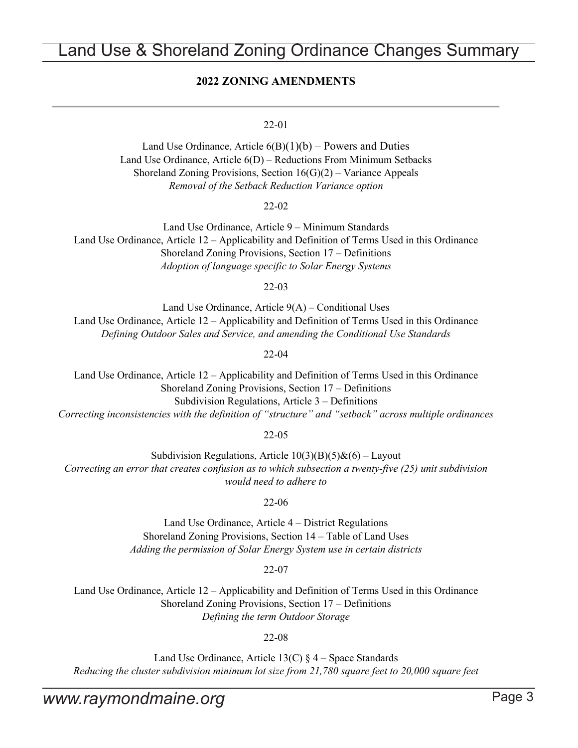## <span id="page-2-0"></span>Land Use & Shoreland Zoning Ordinance Changes Summary

### **2022 ZONING AMENDMENTS**

### 22-01

Land Use Ordinance, Article  $6(B)(1)(b)$  – Powers and Duties Land Use Ordinance, Article 6(D) – Reductions From Minimum Setbacks Shoreland Zoning Provisions, Section  $16(G)(2)$  – Variance Appeals *Removal of the Setback Reduction Variance option*

22-02

Land Use Ordinance, Article 9 – Minimum Standards Land Use Ordinance, Article 12 – Applicability and Definition of Terms Used in this Ordinance Shoreland Zoning Provisions, Section 17 – Definitions *Adoption of language specific to Solar Energy Systems*

22-03

Land Use Ordinance, Article 9(A) – Conditional Uses Land Use Ordinance, Article 12 – Applicability and Definition of Terms Used in this Ordinance *Defining Outdoor Sales and Service, and amending the Conditional Use Standards*

22-04

Land Use Ordinance, Article 12 – Applicability and Definition of Terms Used in this Ordinance Shoreland Zoning Provisions, Section 17 – Definitions Subdivision Regulations, Article 3 – Definitions *Correcting inconsistencies with the definition of "structure" and "setback" across multiple ordinances*

22-05

Subdivision Regulations, Article  $10(3)(B)(5)$ & $(6)$  – Layout *Correcting an error that creates confusion as to which subsection a twenty-five (25) unit subdivision would need to adhere to*

22-06

Land Use Ordinance, Article 4 – District Regulations Shoreland Zoning Provisions, Section 14 – Table of Land Uses *Adding the permission of Solar Energy System use in certain districts*

22-07

Land Use Ordinance, Article 12 – Applicability and Definition of Terms Used in this Ordinance Shoreland Zoning Provisions, Section 17 – Definitions *Defining the term Outdoor Storage*

22-08

Land Use Ordinance, Article  $13(C) \S 4$  – Space Standards *Reducing the cluster subdivision minimum lot size from 21,780 square feet to 20,000 square feet*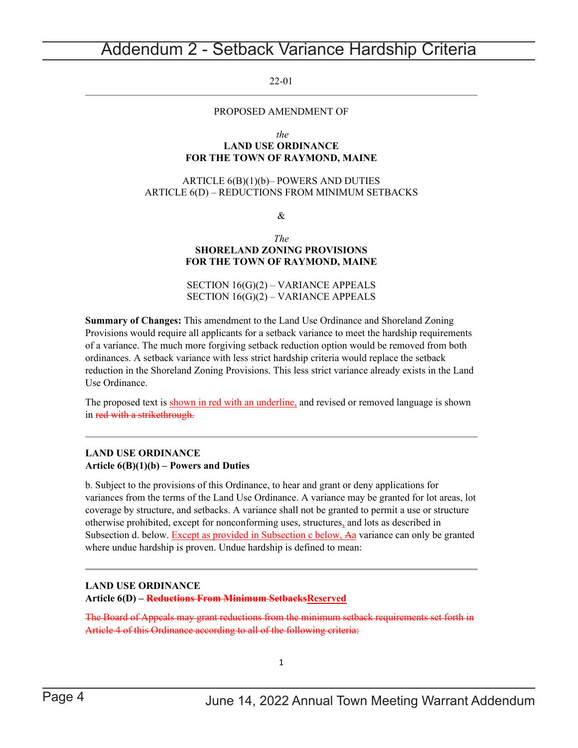## <span id="page-3-0"></span>Addendum 2 - Setback Variance Hardship Criteria

22-01

### PROPOSED AMENDMENT OF

*the*

### **LAND USE ORDINANCE FOR THE TOWN OF RAYMOND, MAINE**

### ARTICLE 6(B)(1)(b)– POWERS AND DUTIES ARTICLE 6(D) – REDUCTIONS FROM MINIMUM SETBACKS

&

#### *The* **SHORELAND ZONING PROVISIONS FOR THE TOWN OF RAYMOND, MAINE**

SECTION 16(G)(2) – VARIANCE APPEALS SECTION 16(G)(2) – VARIANCE APPEALS

**Summary of Changes:** This amendment to the Land Use Ordinance and Shoreland Zoning Provisions would require all applicants for a setback variance to meet the hardship requirements of a variance. The much more forgiving setback reduction option would be removed from both ordinances. A setback variance with less strict hardship criteria would replace the setback reduction in the Shoreland Zoning Provisions. This less strict variance already exists in the Land Use Ordinance.

The proposed text is shown in red with an underline, and revised or removed language is shown in red with a strikethrough.

### **LAND USE ORDINANCE Article 6(B)(1)(b) – Powers and Duties**

b. Subject to the provisions of this Ordinance, to hear and grant or deny applications for variances from the terms of the Land Use Ordinance. A variance may be granted for lot areas, lot coverage by structure, and setbacks. A variance shall not be granted to permit a use or structure otherwise prohibited, except for nonconforming uses, structures, and lots as described in Subsection d. below. Except as provided in Subsection c below, Aa variance can only be granted where undue hardship is proven. Undue hardship is defined to mean:

### **LAND USE ORDINANCE**

**Article 6(D) – Reductions From Minimum SetbacksReserved**

The Board of Appeals may grant reductions from the minimum setback requirements set forth in Article 4 of this Ordinance according to all of the following criteria:

1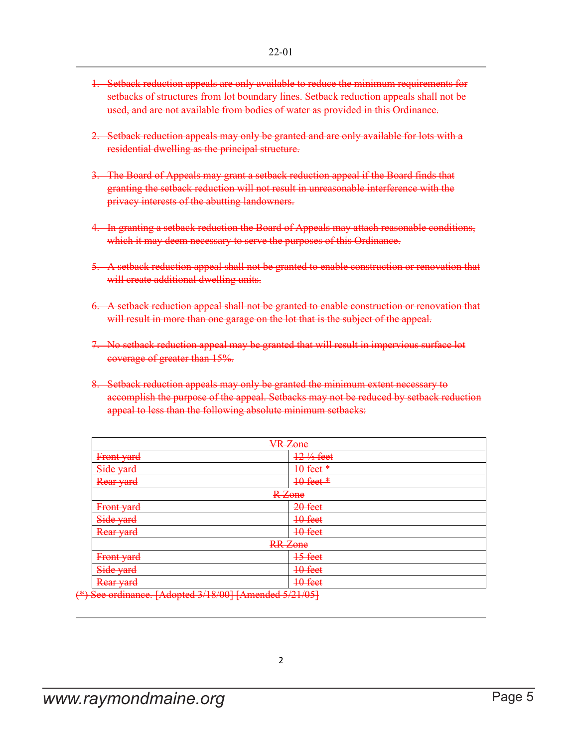- 1. Setback reduction appeals are only available to reduce the minimum requirements for setbacks of structures from lot boundary lines. Setback reduction appeals shall not be used, and are not available from bodies of water as provided in this Ordinance.
- 2. Setback reduction appeals may only be granted and are only available for lots with a residential dwelling as the principal structure.
- 3. The Board of Appeals may grant a setback reduction appeal if the Board finds that granting the setback reduction will not result in unreasonable interference with the privacy interests of the abutting landowners.
- 4. In granting a setback reduction the Board of Appeals may attach reasonable conditions, which it may deem necessary to serve the purposes of this Ordinance.
- 5. A setback reduction appeal shall not be granted to enable construction or renovation that will create additional dwelling units.
- 6. A setback reduction appeal shall not be granted to enable construction or renovation that will result in more than one garage on the lot that is the subject of the appeal.
- 7. No setback reduction appeal may be granted that will result in impervious surface lot coverage of greater than 15%.
- 8. Setback reduction appeals may only be granted the minimum extent necessary to accomplish the purpose of the appeal. Setbacks may not be reduced by setback reduction appeal to less than the following absolute minimum setbacks:

| <b>VR</b> Zone                                                         |                      |  |  |
|------------------------------------------------------------------------|----------------------|--|--|
| Front yard                                                             | $12\frac{1}{2}$ feet |  |  |
| Side yard                                                              | $10$ feet $*$        |  |  |
| Rear yard                                                              | 10 feet *            |  |  |
| R-Zone                                                                 |                      |  |  |
| Front yard                                                             | $20$ feet            |  |  |
| Side yard                                                              | 10 feet              |  |  |
| Rear yard                                                              | 10 feet              |  |  |
| <b>RR</b> Zone                                                         |                      |  |  |
| Front yard                                                             | 15 feet              |  |  |
| Side yard                                                              | 10 feet              |  |  |
| Rear yard                                                              | 10 feet              |  |  |
| $\Lambda$ See endingnes $\Lambda$ dented $2/19/001$ LA member 5/21/051 |                      |  |  |

See ordinance. [Adopted 3/18/00] [Amended 5/21/05]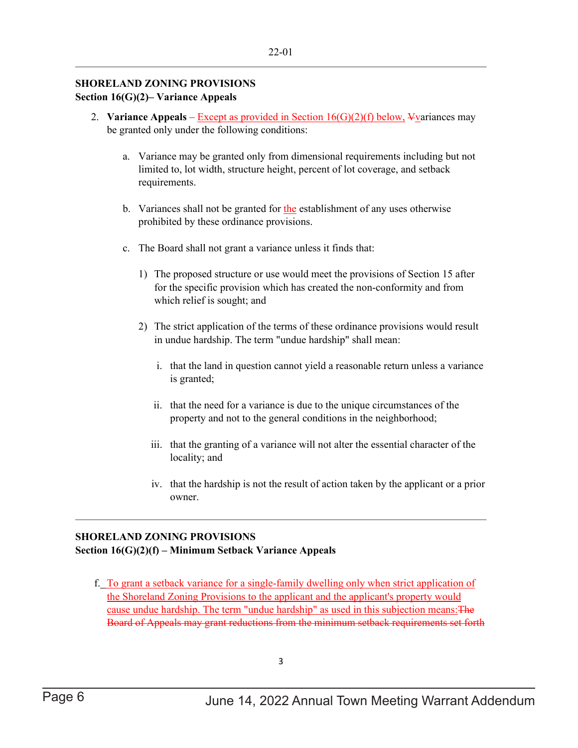### **SHORELAND ZONING PROVISIONS Section 16(G)(2)– Variance Appeals**

- 2. **Variance Appeals Except as provided in Section 16(G)(2)(f) below, Vyariances may** be granted only under the following conditions:
	- a. Variance may be granted only from dimensional requirements including but not limited to, lot width, structure height, percent of lot coverage, and setback requirements.
	- b. Variances shall not be granted for the establishment of any uses otherwise prohibited by these ordinance provisions.
	- c. The Board shall not grant a variance unless it finds that:
		- 1) The proposed structure or use would meet the provisions of Section 15 after for the specific provision which has created the non-conformity and from which relief is sought; and
		- 2) The strict application of the terms of these ordinance provisions would result in undue hardship. The term "undue hardship" shall mean:
			- i. that the land in question cannot yield a reasonable return unless a variance is granted;
			- ii. that the need for a variance is due to the unique circumstances of the property and not to the general conditions in the neighborhood;
			- iii. that the granting of a variance will not alter the essential character of the locality; and
			- iv. that the hardship is not the result of action taken by the applicant or a prior owner.

### **SHORELAND ZONING PROVISIONS Section 16(G)(2)(f) – Minimum Setback Variance Appeals**

f. To grant a setback variance for a single-family dwelling only when strict application of the Shoreland Zoning Provisions to the applicant and the applicant's property would cause undue hardship. The term "undue hardship" as used in this subjection means:The Board of Appeals may grant reductions from the minimum setback requirements set forth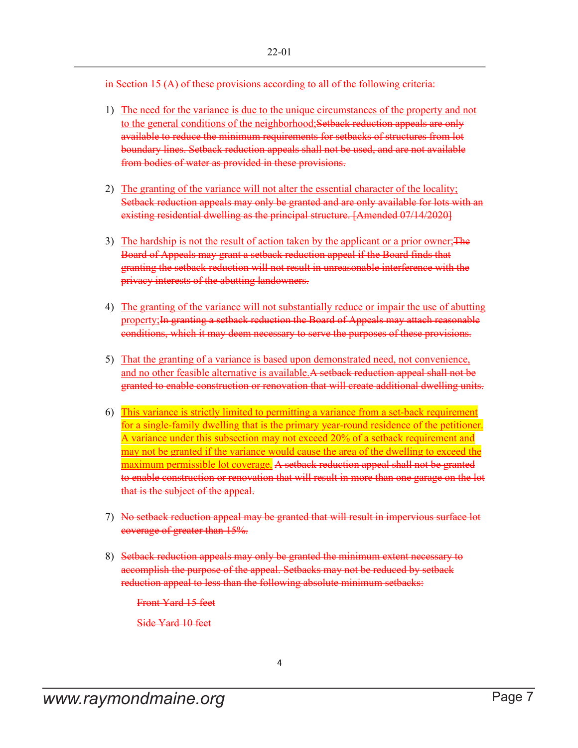in Section 15 (A) of these provisions according to all of the following criteria:

- 1) The need for the variance is due to the unique circumstances of the property and not to the general conditions of the neighborhood; Setback reduction appeals are only available to reduce the minimum requirements for setbacks of structures from lot boundary lines. Setback reduction appeals shall not be used, and are not available from bodies of water as provided in these provisions.
- 2) The granting of the variance will not alter the essential character of the locality; Setback reduction appeals may only be granted and are only available for lots with an existing residential dwelling as the principal structure. [Amended 07/14/2020]
- 3) The hardship is not the result of action taken by the applicant or a prior owner; The Board of Appeals may grant a setback reduction appeal if the Board finds that granting the setback reduction will not result in unreasonable interference with the privacy interests of the abutting landowners.
- 4) The granting of the variance will not substantially reduce or impair the use of abutting property; In granting a setback reduction the Board of Appeals may attach reasonable conditions, which it may deem necessary to serve the purposes of these provisions.
- 5) That the granting of a variance is based upon demonstrated need, not convenience, and no other feasible alternative is available.A setback reduction appeal shall not be granted to enable construction or renovation that will create additional dwelling units.
- 6) This variance is strictly limited to permitting a variance from a set-back requirement for a single-family dwelling that is the primary year-round residence of the petitioner. A variance under this subsection may not exceed 20% of a setback requirement and may not be granted if the variance would cause the area of the dwelling to exceed the maximum permissible lot coverage. A setback reduction appeal shall not be granted to enable construction or renovation that will result in more than one garage on the lot that is the subject of the appeal.
- 7) No setback reduction appeal may be granted that will result in impervious surface lot coverage of greater than 15%.
- 8) Setback reduction appeals may only be granted the minimum extent necessary to accomplish the purpose of the appeal. Setbacks may not be reduced by setback reduction appeal to less than the following absolute minimum setbacks:

Front Yard 15 feet

Side Yard 10 feet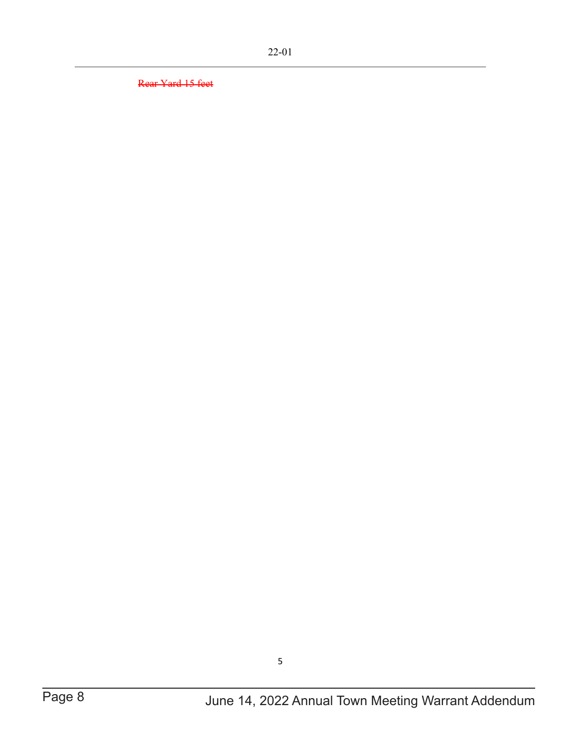Rear Yard 15 feet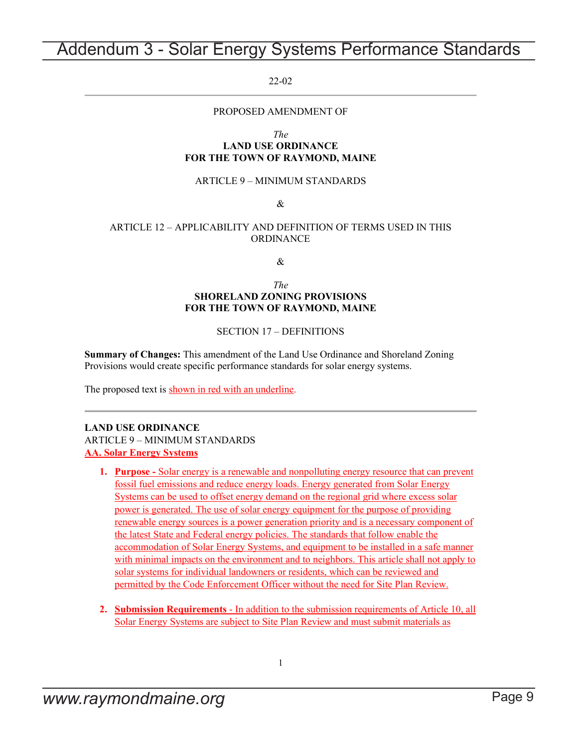## <span id="page-8-0"></span>Addendum 3 - Solar Energy Systems Performance Standards

22-02

### PROPOSED AMENDMENT OF

*The*

### **LAND USE ORDINANCE FOR THE TOWN OF RAYMOND, MAINE**

#### ARTICLE 9 – MINIMUM STANDARDS

&

### ARTICLE 12 – APPLICABILITY AND DEFINITION OF TERMS USED IN THIS ORDINANCE

&

#### *The* **SHORELAND ZONING PROVISIONS FOR THE TOWN OF RAYMOND, MAINE**

#### SECTION 17 – DEFINITIONS

**Summary of Changes:** This amendment of the Land Use Ordinance and Shoreland Zoning Provisions would create specific performance standards for solar energy systems.

The proposed text is shown in red with an underline.

### **LAND USE ORDINANCE** ARTICLE 9 – MINIMUM STANDARDS **AA. Solar Energy Systems**

- **1. Purpose -** Solar energy is a renewable and nonpolluting energy resource that can prevent fossil fuel emissions and reduce energy loads. Energy generated from Solar Energy Systems can be used to offset energy demand on the regional grid where excess solar power is generated. The use of solar energy equipment for the purpose of providing renewable energy sources is a power generation priority and is a necessary component of the latest State and Federal energy policies. The standards that follow enable the accommodation of Solar Energy Systems, and equipment to be installed in a safe manner with minimal impacts on the environment and to neighbors. This article shall not apply to solar systems for individual landowners or residents, which can be reviewed and permitted by the Code Enforcement Officer without the need for Site Plan Review.
- **2. Submission Requirements** In addition to the submission requirements of Article 10, all Solar Energy Systems are subject to Site Plan Review and must submit materials as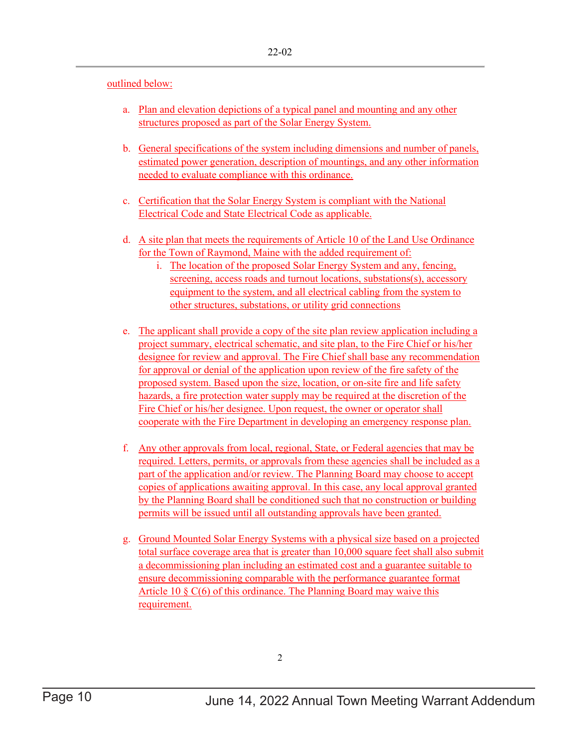### outlined below:

- a. Plan and elevation depictions of a typical panel and mounting and any other structures proposed as part of the Solar Energy System.
- b. General specifications of the system including dimensions and number of panels, estimated power generation, description of mountings, and any other information needed to evaluate compliance with this ordinance.
- c. Certification that the Solar Energy System is compliant with the National Electrical Code and State Electrical Code as applicable.
- d. A site plan that meets the requirements of Article 10 of the Land Use Ordinance for the Town of Raymond, Maine with the added requirement of:
	- i. The location of the proposed Solar Energy System and any, fencing, screening, access roads and turnout locations, substations(s), accessory equipment to the system, and all electrical cabling from the system to other structures, substations, or utility grid connections
- e. The applicant shall provide a copy of the site plan review application including a project summary, electrical schematic, and site plan, to the Fire Chief or his/her designee for review and approval. The Fire Chief shall base any recommendation for approval or denial of the application upon review of the fire safety of the proposed system. Based upon the size, location, or on-site fire and life safety hazards, a fire protection water supply may be required at the discretion of the Fire Chief or his/her designee. Upon request, the owner or operator shall cooperate with the Fire Department in developing an emergency response plan.
- f. Any other approvals from local, regional, State, or Federal agencies that may be required. Letters, permits, or approvals from these agencies shall be included as a part of the application and/or review. The Planning Board may choose to accept copies of applications awaiting approval. In this case, any local approval granted by the Planning Board shall be conditioned such that no construction or building permits will be issued until all outstanding approvals have been granted.
- g. Ground Mounted Solar Energy Systems with a physical size based on a projected total surface coverage area that is greater than 10,000 square feet shall also submit a decommissioning plan including an estimated cost and a guarantee suitable to ensure decommissioning comparable with the performance guarantee format Article 10  $\S \mathcal{C}(6)$  of this ordinance. The Planning Board may waive this requirement.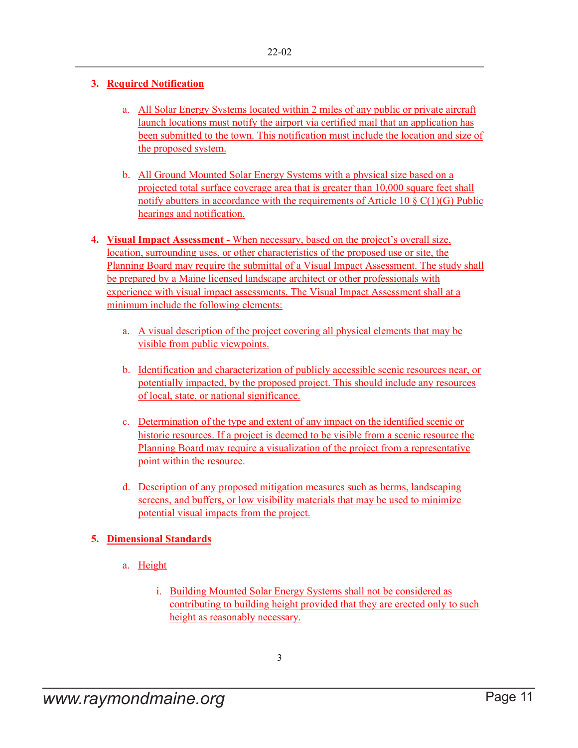### **3. Required Notification**

- a. All Solar Energy Systems located within 2 miles of any public or private aircraft launch locations must notify the airport via certified mail that an application has been submitted to the town. This notification must include the location and size of the proposed system.
- b. All Ground Mounted Solar Energy Systems with a physical size based on a projected total surface coverage area that is greater than 10,000 square feet shall notify abutters in accordance with the requirements of Article 10  $\S$  C(1)(G) Public hearings and notification.
- **4. Visual Impact Assessment -** When necessary, based on the project's overall size, location, surrounding uses, or other characteristics of the proposed use or site, the Planning Board may require the submittal of a Visual Impact Assessment. The study shall be prepared by a Maine licensed landscape architect or other professionals with experience with visual impact assessments. The Visual Impact Assessment shall at a minimum include the following elements:
	- a. A visual description of the project covering all physical elements that may be visible from public viewpoints.
	- b. Identification and characterization of publicly accessible scenic resources near, or potentially impacted, by the proposed project. This should include any resources of local, state, or national significance.
	- c. Determination of the type and extent of any impact on the identified scenic or historic resources. If a project is deemed to be visible from a scenic resource the Planning Board may require a visualization of the project from a representative point within the resource.
	- d. Description of any proposed mitigation measures such as berms, landscaping screens, and buffers, or low visibility materials that may be used to minimize potential visual impacts from the project.

### **5. Dimensional Standards**

- a. Height
	- i. Building Mounted Solar Energy Systems shall not be considered as contributing to building height provided that they are erected only to such height as reasonably necessary.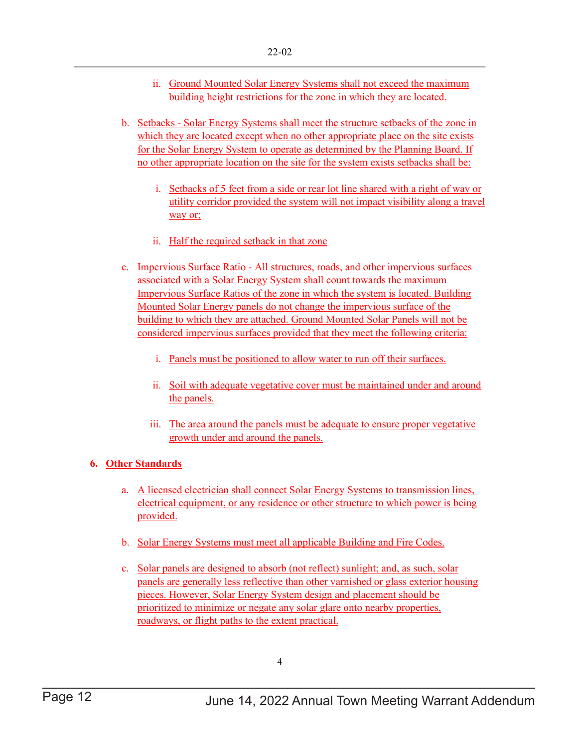- ii. Ground Mounted Solar Energy Systems shall not exceed the maximum building height restrictions for the zone in which they are located.
- b. Setbacks Solar Energy Systems shall meet the structure setbacks of the zone in which they are located except when no other appropriate place on the site exists for the Solar Energy System to operate as determined by the Planning Board. If no other appropriate location on the site for the system exists setbacks shall be:
	- i. Setbacks of 5 feet from a side or rear lot line shared with a right of way or utility corridor provided the system will not impact visibility along a travel way or;
	- ii. Half the required setback in that zone
- c. Impervious Surface Ratio All structures, roads, and other impervious surfaces associated with a Solar Energy System shall count towards the maximum Impervious Surface Ratios of the zone in which the system is located. Building Mounted Solar Energy panels do not change the impervious surface of the building to which they are attached. Ground Mounted Solar Panels will not be considered impervious surfaces provided that they meet the following criteria:
	- i. Panels must be positioned to allow water to run off their surfaces.
	- ii. Soil with adequate vegetative cover must be maintained under and around the panels.
	- iii. The area around the panels must be adequate to ensure proper vegetative growth under and around the panels.

### **6. Other Standards**

- a. A licensed electrician shall connect Solar Energy Systems to transmission lines, electrical equipment, or any residence or other structure to which power is being provided.
- b. Solar Energy Systems must meet all applicable Building and Fire Codes.
- c. Solar panels are designed to absorb (not reflect) sunlight; and, as such, solar panels are generally less reflective than other varnished or glass exterior housing pieces. However, Solar Energy System design and placement should be prioritized to minimize or negate any solar glare onto nearby properties, roadways, or flight paths to the extent practical.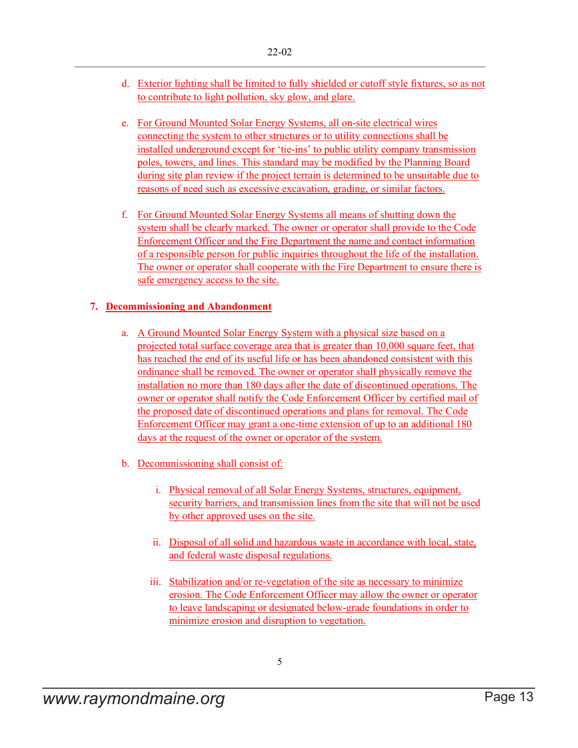- d. Exterior lighting shall be limited to fully shielded or cutoff style fixtures, so as not to contribute to light pollution, sky glow, and glare.
- e. For Ground Mounted Solar Energy Systems, all on-site electrical wires connecting the system to other structures or to utility connections shall be installed underground except for 'tie-ins' to public utility company transmission poles, towers, and lines. This standard may be modified by the Planning Board during site plan review if the project terrain is determined to be unsuitable due to reasons of need such as excessive excavation, grading, or similar factors.
- f. For Ground Mounted Solar Energy Systems all means of shutting down the system shall be clearly marked. The owner or operator shall provide to the Code Enforcement Officer and the Fire Department the name and contact information of a responsible person for public inquiries throughout the life of the installation. The owner or operator shall cooperate with the Fire Department to ensure there is safe emergency access to the site.

### **7. Decommissioning and Abandonment**

- a. A Ground Mounted Solar Energy System with a physical size based on a projected total surface coverage area that is greater than 10,000 square feet, that has reached the end of its useful life or has been abandoned consistent with this ordinance shall be removed. The owner or operator shall physically remove the installation no more than 180 days after the date of discontinued operations. The owner or operator shall notify the Code Enforcement Officer by certified mail of the proposed date of discontinued operations and plans for removal. The Code Enforcement Officer may grant a one-time extension of up to an additional 180 days at the request of the owner or operator of the system.
- b. Decommissioning shall consist of:
	- i. Physical removal of all Solar Energy Systems, structures, equipment, security barriers, and transmission lines from the site that will not be used by other approved uses on the site.
	- ii. Disposal of all solid and hazardous waste in accordance with local, state, and federal waste disposal regulations.
	- iii. Stabilization and/or re-vegetation of the site as necessary to minimize erosion. The Code Enforcement Officer may allow the owner or operator to leave landscaping or designated below-grade foundations in order to minimize erosion and disruption to vegetation.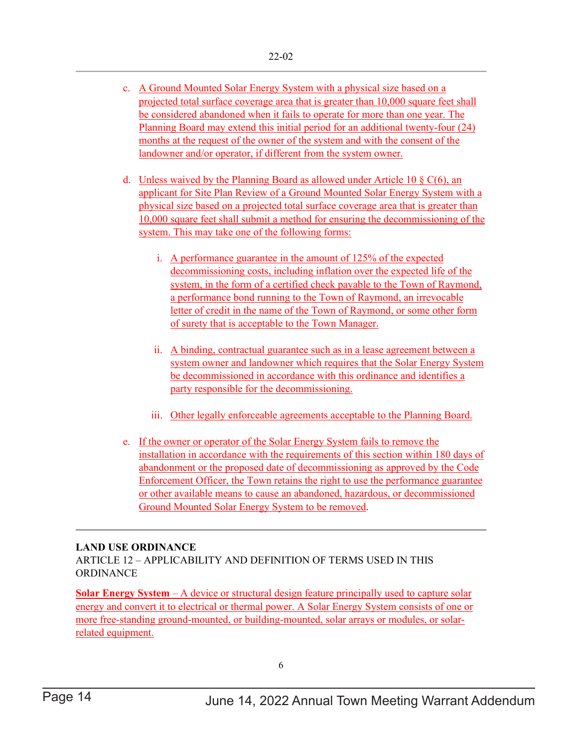- c. A Ground Mounted Solar Energy System with a physical size based on a projected total surface coverage area that is greater than 10,000 square feet shall be considered abandoned when it fails to operate for more than one year. The Planning Board may extend this initial period for an additional twenty-four (24) months at the request of the owner of the system and with the consent of the landowner and/or operator, if different from the system owner.
- d. Unless waived by the Planning Board as allowed under Article 10  $\S$  C(6), an applicant for Site Plan Review of a Ground Mounted Solar Energy System with a physical size based on a projected total surface coverage area that is greater than 10,000 square feet shall submit a method for ensuring the decommissioning of the system. This may take one of the following forms:
	- i. A performance guarantee in the amount of 125% of the expected decommissioning costs, including inflation over the expected life of the system, in the form of a certified check payable to the Town of Raymond, a performance bond running to the Town of Raymond, an irrevocable letter of credit in the name of the Town of Raymond, or some other form of surety that is acceptable to the Town Manager.
	- ii. A binding, contractual guarantee such as in a lease agreement between a system owner and landowner which requires that the Solar Energy System be decommissioned in accordance with this ordinance and identifies a party responsible for the decommissioning.
	- iii. Other legally enforceable agreements acceptable to the Planning Board.
- e. If the owner or operator of the Solar Energy System fails to remove the installation in accordance with the requirements of this section within 180 days of abandonment or the proposed date of decommissioning as approved by the Code Enforcement Officer, the Town retains the right to use the performance guarantee or other available means to cause an abandoned, hazardous, or decommissioned Ground Mounted Solar Energy System to be removed.

### **LAND USE ORDINANCE**

ARTICLE 12 – APPLICABILITY AND DEFINITION OF TERMS USED IN THIS **ORDINANCE** 

**Solar Energy System** – A device or structural design feature principally used to capture solar energy and convert it to electrical or thermal power. A Solar Energy System consists of one or more free-standing ground-mounted, or building-mounted, solar arrays or modules, or solarrelated equipment.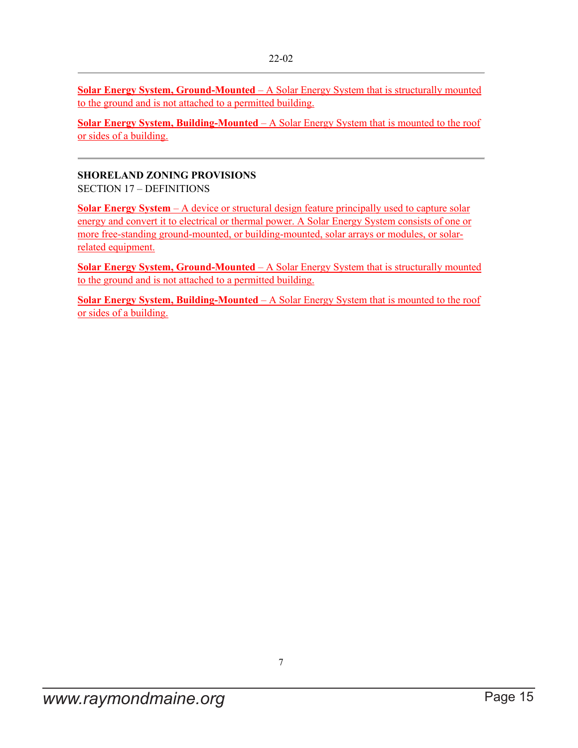**Solar Energy System, Ground-Mounted** – A Solar Energy System that is structurally mounted to the ground and is not attached to a permitted building.

**Solar Energy System, Building-Mounted** – A Solar Energy System that is mounted to the roof or sides of a building.

### **SHORELAND ZONING PROVISIONS**

SECTION 17 – DEFINITIONS

**Solar Energy System** – A device or structural design feature principally used to capture solar energy and convert it to electrical or thermal power. A Solar Energy System consists of one or more free-standing ground-mounted, or building-mounted, solar arrays or modules, or solarrelated equipment.

**Solar Energy System, Ground-Mounted** – A Solar Energy System that is structurally mounted to the ground and is not attached to a permitted building.

**Solar Energy System, Building-Mounted** – A Solar Energy System that is mounted to the roof or sides of a building.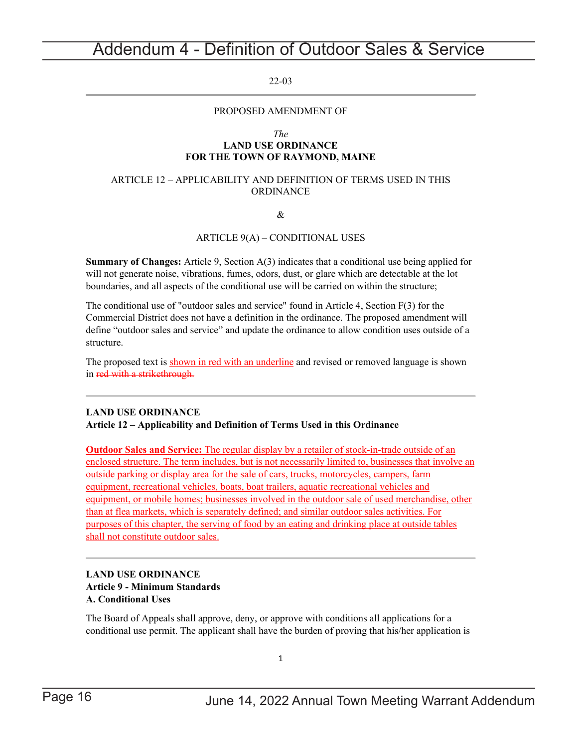## <span id="page-15-0"></span>Addendum 4 - Definition of Outdoor Sales & Service

### 22-03

### PROPOSED AMENDMENT OF

#### *The*

### **LAND USE ORDINANCE FOR THE TOWN OF RAYMOND, MAINE**

#### ARTICLE 12 – APPLICABILITY AND DEFINITION OF TERMS USED IN THIS ORDINANCE

#### &

#### ARTICLE 9(A) – CONDITIONAL USES

**Summary of Changes:** Article 9, Section A(3) indicates that a conditional use being applied for will not generate noise, vibrations, fumes, odors, dust, or glare which are detectable at the lot boundaries, and all aspects of the conditional use will be carried on within the structure;

The conditional use of "outdoor sales and service" found in Article 4, Section F(3) for the Commercial District does not have a definition in the ordinance. The proposed amendment will define "outdoor sales and service" and update the ordinance to allow condition uses outside of a structure.

The proposed text is shown in red with an underline and revised or removed language is shown in red with a strikethrough.

### **LAND USE ORDINANCE**

#### **Article 12 – Applicability and Definition of Terms Used in this Ordinance**

**Outdoor Sales and Service:** The regular display by a retailer of stock-in-trade outside of an enclosed structure. The term includes, but is not necessarily limited to, businesses that involve an outside parking or display area for the sale of cars, trucks, motorcycles, campers, farm equipment, recreational vehicles, boats, boat trailers, aquatic recreational vehicles and equipment, or mobile homes; businesses involved in the outdoor sale of used merchandise, other than at flea markets, which is separately defined; and similar outdoor sales activities. For purposes of this chapter, the serving of food by an eating and drinking place at outside tables shall not constitute outdoor sales.

### **LAND USE ORDINANCE Article 9 - Minimum Standards A. Conditional Uses**

The Board of Appeals shall approve, deny, or approve with conditions all applications for a conditional use permit. The applicant shall have the burden of proving that his/her application is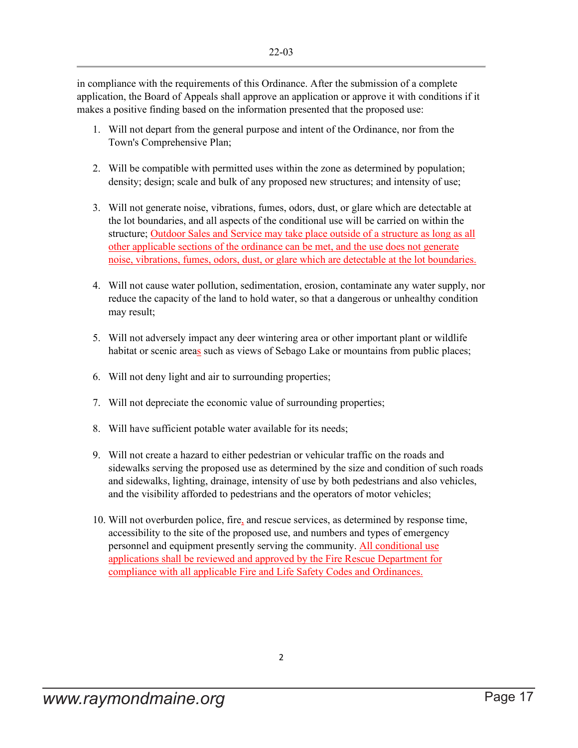in compliance with the requirements of this Ordinance. After the submission of a complete application, the Board of Appeals shall approve an application or approve it with conditions if it makes a positive finding based on the information presented that the proposed use:

- 1. Will not depart from the general purpose and intent of the Ordinance, nor from the Town's Comprehensive Plan;
- 2. Will be compatible with permitted uses within the zone as determined by population; density; design; scale and bulk of any proposed new structures; and intensity of use;
- 3. Will not generate noise, vibrations, fumes, odors, dust, or glare which are detectable at the lot boundaries, and all aspects of the conditional use will be carried on within the structure; Outdoor Sales and Service may take place outside of a structure as long as all other applicable sections of the ordinance can be met, and the use does not generate noise, vibrations, fumes, odors, dust, or glare which are detectable at the lot boundaries.
- 4. Will not cause water pollution, sedimentation, erosion, contaminate any water supply, nor reduce the capacity of the land to hold water, so that a dangerous or unhealthy condition may result;
- 5. Will not adversely impact any deer wintering area or other important plant or wildlife habitat or scenic areas such as views of Sebago Lake or mountains from public places;
- 6. Will not deny light and air to surrounding properties;
- 7. Will not depreciate the economic value of surrounding properties;
- 8. Will have sufficient potable water available for its needs;
- 9. Will not create a hazard to either pedestrian or vehicular traffic on the roads and sidewalks serving the proposed use as determined by the size and condition of such roads and sidewalks, lighting, drainage, intensity of use by both pedestrians and also vehicles, and the visibility afforded to pedestrians and the operators of motor vehicles;
- 10. Will not overburden police, fire, and rescue services, as determined by response time, accessibility to the site of the proposed use, and numbers and types of emergency personnel and equipment presently serving the community. All conditional use applications shall be reviewed and approved by the Fire Rescue Department for compliance with all applicable Fire and Life Safety Codes and Ordinances.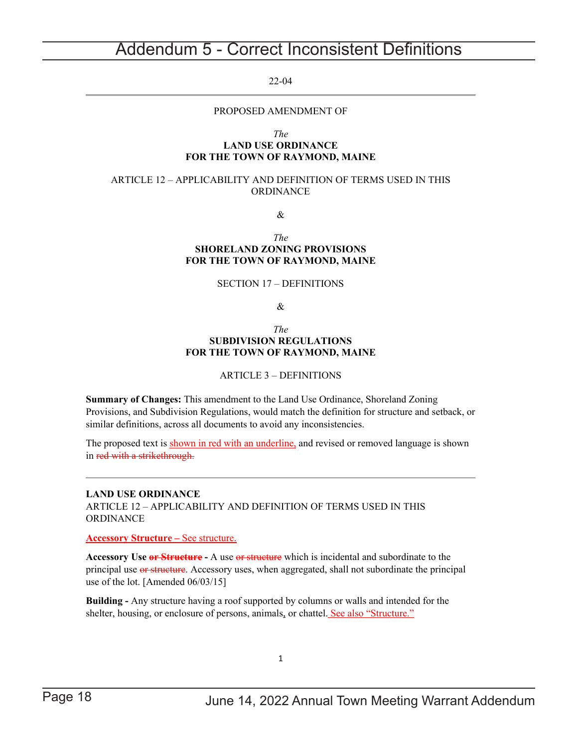## <span id="page-17-0"></span>Addendum 5 - Correct Inconsistent Definitions

#### 22-04

### PROPOSED AMENDMENT OF

#### *The*

### **LAND USE ORDINANCE FOR THE TOWN OF RAYMOND, MAINE**

#### ARTICLE 12 – APPLICABILITY AND DEFINITION OF TERMS USED IN THIS ORDINANCE

&

#### *The* **SHORELAND ZONING PROVISIONS FOR THE TOWN OF RAYMOND, MAINE**

### SECTION 17 – DEFINITIONS

&

#### *The* **SUBDIVISION REGULATIONS FOR THE TOWN OF RAYMOND, MAINE**

### ARTICLE 3 – DEFINITIONS

**Summary of Changes:** This amendment to the Land Use Ordinance, Shoreland Zoning Provisions, and Subdivision Regulations, would match the definition for structure and setback, or similar definitions, across all documents to avoid any inconsistencies.

The proposed text is shown in red with an underline, and revised or removed language is shown in red with a strikethrough.

**LAND USE ORDINANCE** ARTICLE 12 – APPLICABILITY AND DEFINITION OF TERMS USED IN THIS ORDINANCE

**Accessory Structure –** See structure.

**Accessory Use or Structure -** A use or structure which is incidental and subordinate to the principal use or structure. Accessory uses, when aggregated, shall not subordinate the principal use of the lot. [Amended 06/03/15]

**Building -** Any structure having a roof supported by columns or walls and intended for the shelter, housing, or enclosure of persons, animals, or chattel. See also "Structure."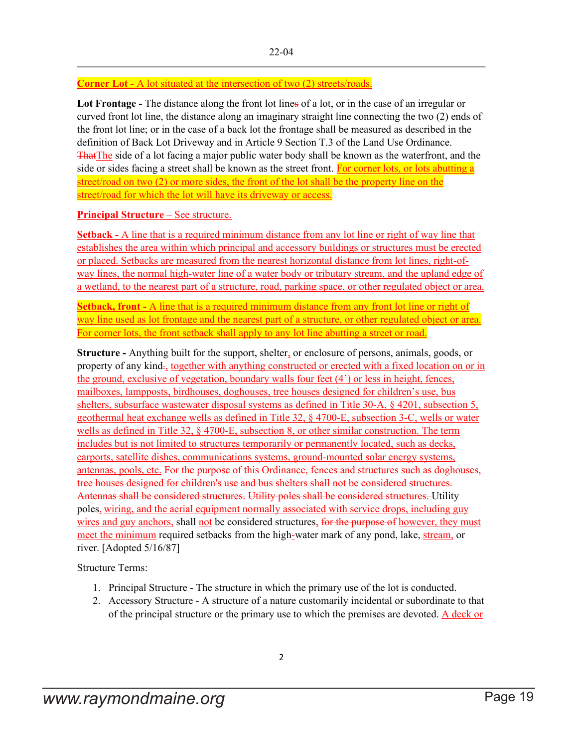### **Corner Lot -** A lot situated at the intersection of two (2) streets/roads.

**Lot Frontage -** The distance along the front lot lines of a lot, or in the case of an irregular or curved front lot line, the distance along an imaginary straight line connecting the two (2) ends of the front lot line; or in the case of a back lot the frontage shall be measured as described in the definition of Back Lot Driveway and in Article 9 Section T.3 of the Land Use Ordinance. ThatThe side of a lot facing a major public water body shall be known as the waterfront, and the side or sides facing a street shall be known as the street front. For corner lots, or lots abutting a street/road on two (2) or more sides, the front of the lot shall be the property line on the street/road for which the lot will have its driveway or access.

### **Principal Structure** – See structure.

**Setback -** A line that is a required minimum distance from any lot line or right of way line that establishes the area within which principal and accessory buildings or structures must be erected or placed. Setbacks are measured from the nearest horizontal distance from lot lines, right-ofway lines, the normal high-water line of a water body or tributary stream, and the upland edge of a wetland, to the nearest part of a structure, road, parking space, or other regulated object or area.

**Setback, front** - A line that is a required minimum distance from any front lot line or right of way line used as lot frontage and the nearest part of a structure, or other regulated object or area. For corner lots, the front setback shall apply to any lot line abutting a street or road.

**Structure -** Anything built for the support, shelter, or enclosure of persons, animals, goods, or property of any kind-, together with anything constructed or erected with a fixed location on or in the ground, exclusive of vegetation, boundary walls four feet (4') or less in height, fences, mailboxes, lampposts, birdhouses, doghouses, tree houses designed for children's use, bus shelters, subsurface wastewater disposal systems as defined in Title 30-A, § 4201, subsection 5, geothermal heat exchange wells as defined in Title 32, § 4700-E, subsection 3-C, wells or water wells as defined in Title 32, § 4700-E, subsection 8, or other similar construction. The term includes but is not limited to structures temporarily or permanently located, such as decks, carports, satellite dishes, communications systems, ground-mounted solar energy systems, antennas, pools, etc. For the purpose of this Ordinance, fences and structures such as doghouses, tree houses designed for children's use and bus shelters shall not be considered structures. Antennas shall be considered structures. Utility poles shall be considered structures. Utility poles, wiring, and the aerial equipment normally associated with service drops, including guy wires and guy anchors, shall not be considered structures, for the purpose of however, they must meet the minimum required setbacks from the high-water mark of any pond, lake, stream, or river. [Adopted 5/16/87]

Structure Terms:

- 1. Principal Structure The structure in which the primary use of the lot is conducted.
- 2. Accessory Structure A structure of a nature customarily incidental or subordinate to that of the principal structure or the primary use to which the premises are devoted. A deck or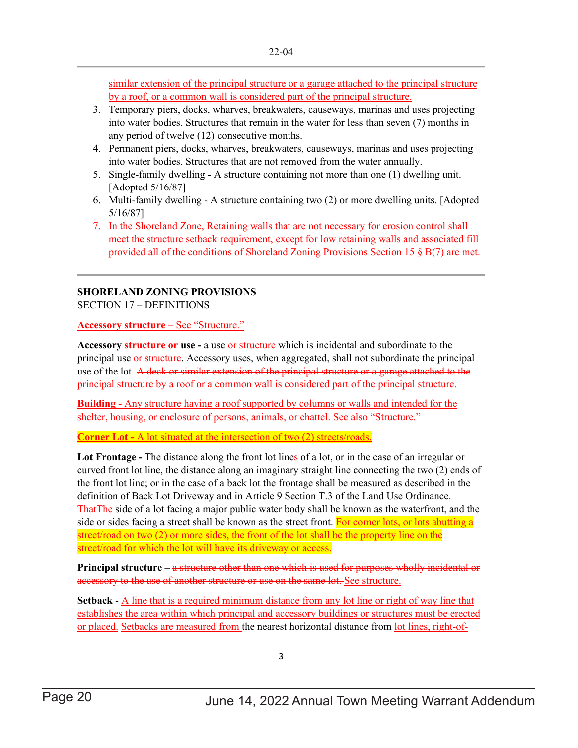similar extension of the principal structure or a garage attached to the principal structure by a roof, or a common wall is considered part of the principal structure.

- 3. Temporary piers, docks, wharves, breakwaters, causeways, marinas and uses projecting into water bodies. Structures that remain in the water for less than seven (7) months in any period of twelve (12) consecutive months.
- 4. Permanent piers, docks, wharves, breakwaters, causeways, marinas and uses projecting into water bodies. Structures that are not removed from the water annually.
- 5. Single-family dwelling A structure containing not more than one (1) dwelling unit. [Adopted 5/16/87]
- 6. Multi-family dwelling A structure containing two (2) or more dwelling units. [Adopted 5/16/87]
- 7. In the Shoreland Zone, Retaining walls that are not necessary for erosion control shall meet the structure setback requirement, except for low retaining walls and associated fill provided all of the conditions of Shoreland Zoning Provisions Section 15  $\S$  B(7) are met.

### **SHORELAND ZONING PROVISIONS**

SECTION 17 – DEFINITIONS

**Accessory structure –** See "Structure."

Accessory **structure or** use - a use or structure which is incidental and subordinate to the principal use or structure. Accessory uses, when aggregated, shall not subordinate the principal use of the lot. A deck or similar extension of the principal structure or a garage attached to the principal structure by a roof or a common wall is considered part of the principal structure.

**Building -** Any structure having a roof supported by columns or walls and intended for the shelter, housing, or enclosure of persons, animals, or chattel. See also "Structure."

**Corner Lot -** A lot situated at the intersection of two (2) streets/roads.

**Lot Frontage -** The distance along the front lot lines of a lot, or in the case of an irregular or curved front lot line, the distance along an imaginary straight line connecting the two (2) ends of the front lot line; or in the case of a back lot the frontage shall be measured as described in the definition of Back Lot Driveway and in Article 9 Section T.3 of the Land Use Ordinance. That The side of a lot facing a major public water body shall be known as the waterfront, and the side or sides facing a street shall be known as the street front. For corner lots, or lots abutting a street/road on two (2) or more sides, the front of the lot shall be the property line on the street/road for which the lot will have its driveway or access.

**Principal structure –** a structure other than one which is used for purposes wholly incidental or accessory to the use of another structure or use on the same lot. See structure.

**Setback** - A line that is a required minimum distance from any lot line or right of way line that establishes the area within which principal and accessory buildings or structures must be erected or placed. Setbacks are measured from the nearest horizontal distance from <u>lot lines, right-of-</u>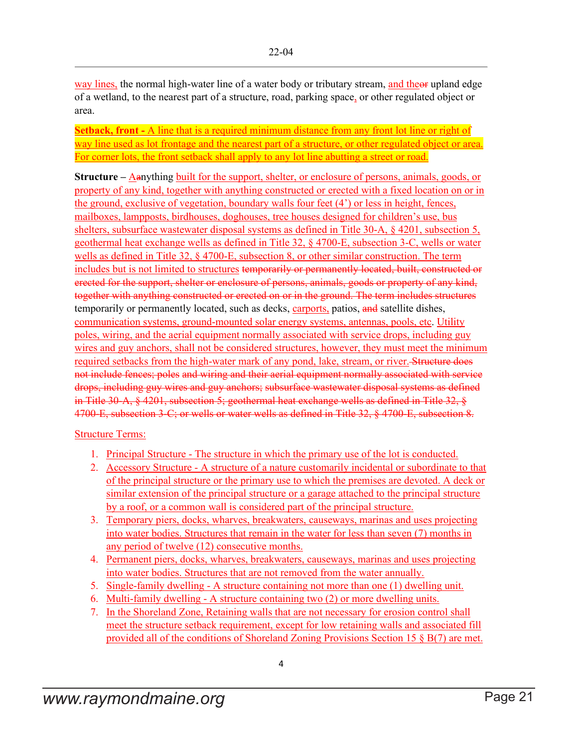way lines, the normal high-water line of a water body or tributary stream, and theor upland edge of a wetland, to the nearest part of a structure, road, parking space, or other regulated object or area.

**Setback, front -** A line that is a required minimum distance from any front lot line or right of way line used as lot frontage and the nearest part of a structure, or other regulated object or area. For corner lots, the front setback shall apply to any lot line abutting a street or road.

**Structure** – Aanything built for the support, shelter, or enclosure of persons, animals, goods, or property of any kind, together with anything constructed or erected with a fixed location on or in the ground, exclusive of vegetation, boundary walls four feet (4') or less in height, fences, mailboxes, lampposts, birdhouses, doghouses, tree houses designed for children's use, bus shelters, subsurface wastewater disposal systems as defined in Title 30-A, § 4201, subsection 5, geothermal heat exchange wells as defined in Title 32, § 4700-E, subsection 3-C, wells or water wells as defined in Title 32, § 4700-E, subsection 8, or other similar construction. The term includes but is not limited to structures temporarily or permanently located, built, constructed or erected for the support, shelter or enclosure of persons, animals, goods or property of any kind, together with anything constructed or erected on or in the ground. The term includes structures temporarily or permanently located, such as decks, carports, patios, and satellite dishes, communication systems, ground-mounted solar energy systems, antennas, pools, etc. Utility poles, wiring, and the aerial equipment normally associated with service drops, including guy wires and guy anchors, shall not be considered structures, however, they must meet the minimum required setbacks from the high-water mark of any pond, lake, stream, or river. Structure does not include fences; poles and wiring and their aerial equipment normally associated with service drops, including guy wires and guy anchors; subsurface wastewater disposal systems as defined in Title 30-A, § 4201, subsection 5; geothermal heat exchange wells as defined in Title 32, § 4700-E, subsection 3-C; or wells or water wells as defined in Title 32, § 4700-E, subsection 8.

### Structure Terms:

- 1. Principal Structure The structure in which the primary use of the lot is conducted.
- 2. Accessory Structure A structure of a nature customarily incidental or subordinate to that of the principal structure or the primary use to which the premises are devoted. A deck or similar extension of the principal structure or a garage attached to the principal structure by a roof, or a common wall is considered part of the principal structure.
- 3. Temporary piers, docks, wharves, breakwaters, causeways, marinas and uses projecting into water bodies. Structures that remain in the water for less than seven (7) months in any period of twelve (12) consecutive months.
- 4. Permanent piers, docks, wharves, breakwaters, causeways, marinas and uses projecting into water bodies. Structures that are not removed from the water annually.
- 5. Single-family dwelling A structure containing not more than one (1) dwelling unit.
- 6. Multi-family dwelling A structure containing two (2) or more dwelling units.
- 7. In the Shoreland Zone, Retaining walls that are not necessary for erosion control shall meet the structure setback requirement, except for low retaining walls and associated fill provided all of the conditions of Shoreland Zoning Provisions Section 15 § B(7) are met.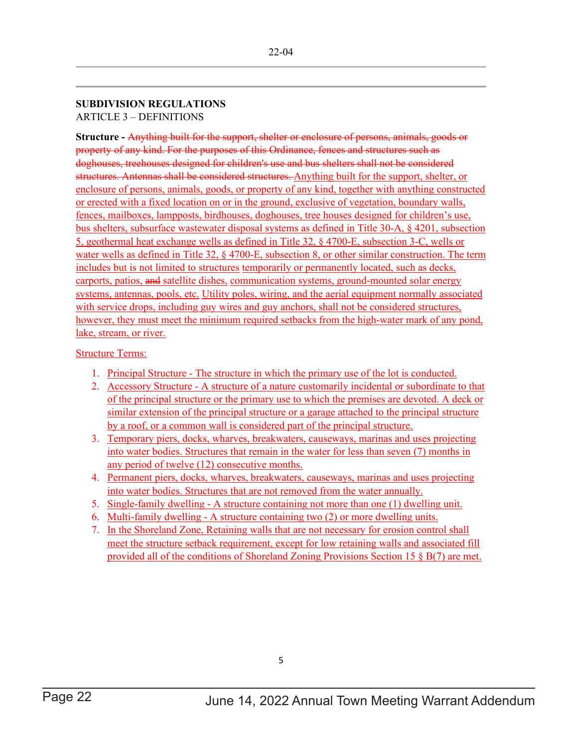### **SUBDIVISION REGULATIONS** ARTICLE 3 – DEFINITIONS

**Structure -** Anything built for the support, shelter or enclosure of persons, animals, goods or property of any kind. For the purposes of this Ordinance, fences and structures such as doghouses, treehouses designed for children's use and bus shelters shall not be considered structures. Antennas shall be considered structures. Anything built for the support, shelter, or enclosure of persons, animals, goods, or property of any kind, together with anything constructed or erected with a fixed location on or in the ground, exclusive of vegetation, boundary walls, fences, mailboxes, lampposts, birdhouses, doghouses, tree houses designed for children's use, bus shelters, subsurface wastewater disposal systems as defined in Title 30-A, § 4201, subsection 5, geothermal heat exchange wells as defined in Title 32, § 4700-E, subsection 3-C, wells or water wells as defined in Title 32, § 4700-E, subsection 8, or other similar construction. The term includes but is not limited to structures temporarily or permanently located, such as decks, carports, patios, and satellite dishes, communication systems, ground-mounted solar energy systems, antennas, pools, etc. Utility poles, wiring, and the aerial equipment normally associated with service drops, including guy wires and guy anchors, shall not be considered structures, however, they must meet the minimum required setbacks from the high-water mark of any pond, lake, stream, or river.

### Structure Terms:

- 1. Principal Structure The structure in which the primary use of the lot is conducted.
- 2. Accessory Structure A structure of a nature customarily incidental or subordinate to that of the principal structure or the primary use to which the premises are devoted. A deck or similar extension of the principal structure or a garage attached to the principal structure by a roof, or a common wall is considered part of the principal structure.
- 3. Temporary piers, docks, wharves, breakwaters, causeways, marinas and uses projecting into water bodies. Structures that remain in the water for less than seven (7) months in any period of twelve (12) consecutive months.
- 4. Permanent piers, docks, wharves, breakwaters, causeways, marinas and uses projecting into water bodies. Structures that are not removed from the water annually.
- 5. Single-family dwelling A structure containing not more than one (1) dwelling unit.
- 6. Multi-family dwelling A structure containing two (2) or more dwelling units.
- 7. In the Shoreland Zone, Retaining walls that are not necessary for erosion control shall meet the structure setback requirement, except for low retaining walls and associated fill provided all of the conditions of Shoreland Zoning Provisions Section 15 § B(7) are met.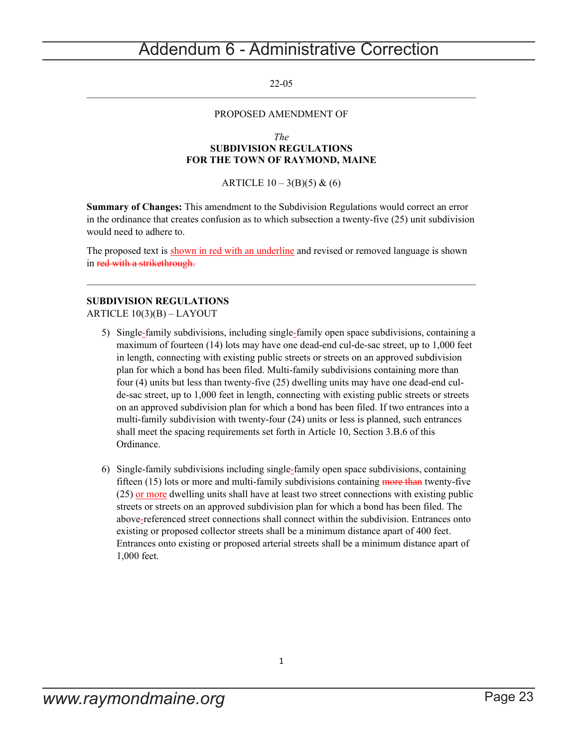## <span id="page-22-0"></span>Addendum 6 - Administrative Correction

22-05

#### PROPOSED AMENDMENT OF

#### *The* **SUBDIVISION REGULATIONS FOR THE TOWN OF RAYMOND, MAINE**

ARTICLE  $10 - 3(B)(5) & (6)$ 

**Summary of Changes:** This amendment to the Subdivision Regulations would correct an error in the ordinance that creates confusion as to which subsection a twenty-five (25) unit subdivision would need to adhere to.

The proposed text is shown in red with an underline and revised or removed language is shown in red with a strikethrough.

### **SUBDIVISION REGULATIONS**

ARTICLE 10(3)(B) – LAYOUT

- 5) Single-family subdivisions, including single-family open space subdivisions, containing a maximum of fourteen (14) lots may have one dead-end cul-de-sac street, up to 1,000 feet in length, connecting with existing public streets or streets on an approved subdivision plan for which a bond has been filed. Multi-family subdivisions containing more than four (4) units but less than twenty-five (25) dwelling units may have one dead-end culde-sac street, up to 1,000 feet in length, connecting with existing public streets or streets on an approved subdivision plan for which a bond has been filed. If two entrances into a multi-family subdivision with twenty-four (24) units or less is planned, such entrances shall meet the spacing requirements set forth in Article 10, Section 3.B.6 of this Ordinance.
- 6) Single-family subdivisions including single-family open space subdivisions, containing fifteen  $(15)$  lots or more and multi-family subdivisions containing more than twenty-five (25) or more dwelling units shall have at least two street connections with existing public streets or streets on an approved subdivision plan for which a bond has been filed. The above-referenced street connections shall connect within the subdivision. Entrances onto existing or proposed collector streets shall be a minimum distance apart of 400 feet. Entrances onto existing or proposed arterial streets shall be a minimum distance apart of 1,000 feet.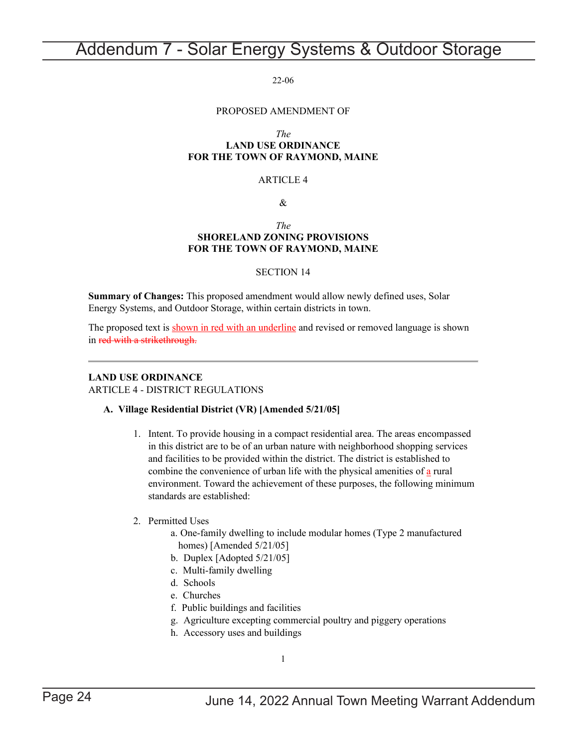## <span id="page-23-0"></span>Addendum 7 - Solar Energy Systems & Outdoor Storage

22-06

#### PROPOSED AMENDMENT OF

*The*

### **LAND USE ORDINANCE FOR THE TOWN OF RAYMOND, MAINE**

#### ARTICLE 4

 $\mathcal{R}$ 

#### *The* **SHORELAND ZONING PROVISIONS FOR THE TOWN OF RAYMOND, MAINE**

#### SECTION 14

**Summary of Changes:** This proposed amendment would allow newly defined uses, Solar Energy Systems, and Outdoor Storage, within certain districts in town.

The proposed text is shown in red with an underline and revised or removed language is shown in red with a strikethrough.

### **LAND USE ORDINANCE**

ARTICLE 4 - DISTRICT REGULATIONS

#### **A. Village Residential District (VR) [Amended 5/21/05]**

1. Intent. To provide housing in a compact residential area. The areas encompassed in this district are to be of an urban nature with neighborhood shopping services and facilities to be provided within the district. The district is established to combine the convenience of urban life with the physical amenities of a rural environment. Toward the achievement of these purposes, the following minimum standards are established:

#### 2. Permitted Uses

- a. One-family dwelling to include modular homes (Type 2 manufactured homes) [Amended 5/21/05]
- b. Duplex [Adopted 5/21/05]
- c. Multi-family dwelling
- d. Schools
- e. Churches
- f. Public buildings and facilities
- g. Agriculture excepting commercial poultry and piggery operations
- h. Accessory uses and buildings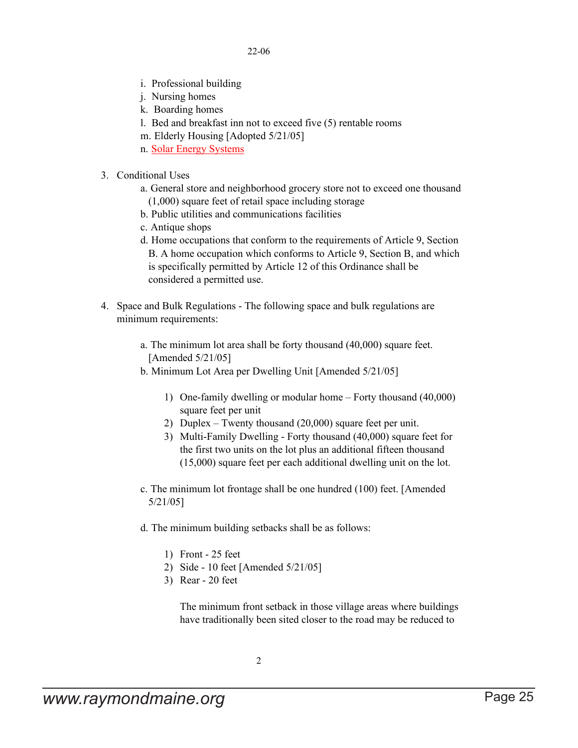- i. Professional building
- j. Nursing homes
- k. Boarding homes
- l. Bed and breakfast inn not to exceed five (5) rentable rooms
- m. Elderly Housing [Adopted 5/21/05]
- n. Solar Energy Systems
- 3. Conditional Uses
	- a. General store and neighborhood grocery store not to exceed one thousand (1,000) square feet of retail space including storage
	- b. Public utilities and communications facilities
	- c. Antique shops
	- d. Home occupations that conform to the requirements of Article 9, Section B. A home occupation which conforms to Article 9, Section B, and which is specifically permitted by Article 12 of this Ordinance shall be considered a permitted use.
- 4. Space and Bulk Regulations The following space and bulk regulations are minimum requirements:
	- a. The minimum lot area shall be forty thousand (40,000) square feet. [Amended 5/21/05]
	- b. Minimum Lot Area per Dwelling Unit [Amended 5/21/05]
		- 1) One-family dwelling or modular home Forty thousand (40,000) square feet per unit
		- 2) Duplex Twenty thousand (20,000) square feet per unit.
		- 3) Multi-Family Dwelling Forty thousand (40,000) square feet for the first two units on the lot plus an additional fifteen thousand (15,000) square feet per each additional dwelling unit on the lot.
	- c. The minimum lot frontage shall be one hundred (100) feet. [Amended 5/21/05]
	- d. The minimum building setbacks shall be as follows:
		- 1) Front 25 feet
		- 2) Side 10 feet [Amended 5/21/05]
		- 3) Rear 20 feet

The minimum front setback in those village areas where buildings have traditionally been sited closer to the road may be reduced to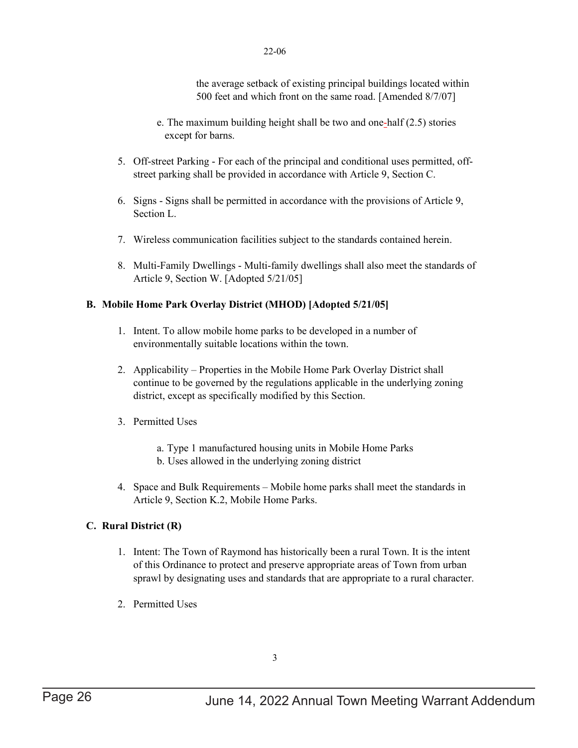the average setback of existing principal buildings located within 500 feet and which front on the same road. [Amended 8/7/07]

- e. The maximum building height shall be two and one-half (2.5) stories except for barns.
- 5. Off-street Parking For each of the principal and conditional uses permitted, offstreet parking shall be provided in accordance with Article 9, Section C.
- 6. Signs Signs shall be permitted in accordance with the provisions of Article 9, Section L.
- 7. Wireless communication facilities subject to the standards contained herein.
- 8. Multi-Family Dwellings Multi-family dwellings shall also meet the standards of Article 9, Section W. [Adopted 5/21/05]

### **B. Mobile Home Park Overlay District (MHOD) [Adopted 5/21/05]**

- 1. Intent. To allow mobile home parks to be developed in a number of environmentally suitable locations within the town.
- 2. Applicability Properties in the Mobile Home Park Overlay District shall continue to be governed by the regulations applicable in the underlying zoning district, except as specifically modified by this Section.
- 3. Permitted Uses
	- a. Type 1 manufactured housing units in Mobile Home Parks
	- b. Uses allowed in the underlying zoning district
- 4. Space and Bulk Requirements Mobile home parks shall meet the standards in Article 9, Section K.2, Mobile Home Parks.

### **C. Rural District (R)**

- 1. Intent: The Town of Raymond has historically been a rural Town. It is the intent of this Ordinance to protect and preserve appropriate areas of Town from urban sprawl by designating uses and standards that are appropriate to a rural character.
- 2. Permitted Uses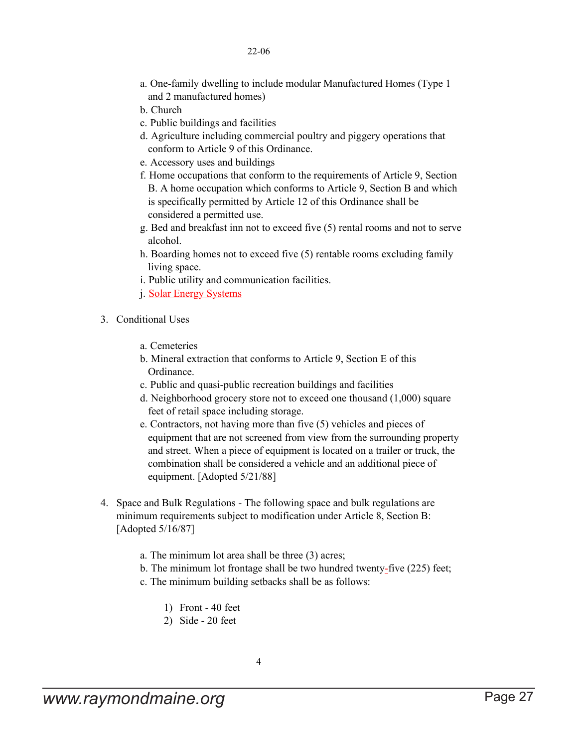- a. One-family dwelling to include modular Manufactured Homes (Type 1 and 2 manufactured homes)
- b. Church
- c. Public buildings and facilities
- d. Agriculture including commercial poultry and piggery operations that conform to Article 9 of this Ordinance.
- e. Accessory uses and buildings
- f. Home occupations that conform to the requirements of Article 9, Section B. A home occupation which conforms to Article 9, Section B and which is specifically permitted by Article 12 of this Ordinance shall be considered a permitted use.
- g. Bed and breakfast inn not to exceed five (5) rental rooms and not to serve alcohol.
- h. Boarding homes not to exceed five (5) rentable rooms excluding family living space.
- i. Public utility and communication facilities.
- j. Solar Energy Systems
- 3. Conditional Uses
	- a. Cemeteries
	- b. Mineral extraction that conforms to Article 9, Section E of this Ordinance.
	- c. Public and quasi-public recreation buildings and facilities
	- d. Neighborhood grocery store not to exceed one thousand (1,000) square feet of retail space including storage.
	- e. Contractors, not having more than five (5) vehicles and pieces of equipment that are not screened from view from the surrounding property and street. When a piece of equipment is located on a trailer or truck, the combination shall be considered a vehicle and an additional piece of equipment. [Adopted 5/21/88]
- 4. Space and Bulk Regulations The following space and bulk regulations are minimum requirements subject to modification under Article 8, Section B: [Adopted 5/16/87]
	- a. The minimum lot area shall be three (3) acres;
	- b. The minimum lot frontage shall be two hundred twenty-five (225) feet;
	- c. The minimum building setbacks shall be as follows:
		- 1) Front 40 feet
		- 2) Side 20 feet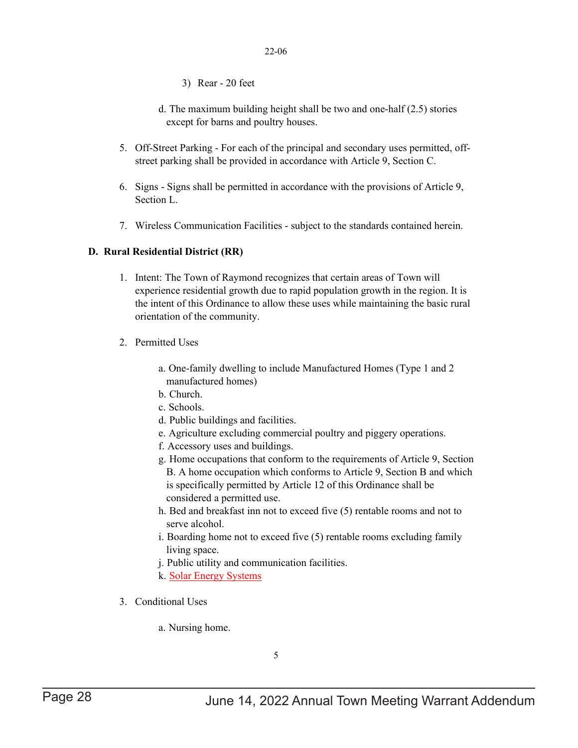- 3) Rear 20 feet
- d. The maximum building height shall be two and one-half (2.5) stories except for barns and poultry houses.
- 5. Off-Street Parking For each of the principal and secondary uses permitted, offstreet parking shall be provided in accordance with Article 9, Section C.
- 6. Signs Signs shall be permitted in accordance with the provisions of Article 9, Section L.
- 7. Wireless Communication Facilities subject to the standards contained herein.

### **D. Rural Residential District (RR)**

- 1. Intent: The Town of Raymond recognizes that certain areas of Town will experience residential growth due to rapid population growth in the region. It is the intent of this Ordinance to allow these uses while maintaining the basic rural orientation of the community.
- 2. Permitted Uses
	- a. One-family dwelling to include Manufactured Homes (Type 1 and 2 manufactured homes)
	- b. Church.
	- c. Schools.
	- d. Public buildings and facilities.
	- e. Agriculture excluding commercial poultry and piggery operations.
	- f. Accessory uses and buildings.
	- g. Home occupations that conform to the requirements of Article 9, Section B. A home occupation which conforms to Article 9, Section B and which is specifically permitted by Article 12 of this Ordinance shall be considered a permitted use.
	- h. Bed and breakfast inn not to exceed five (5) rentable rooms and not to serve alcohol.
	- i. Boarding home not to exceed five (5) rentable rooms excluding family living space.
	- j. Public utility and communication facilities.
	- k. Solar Energy Systems
- 3. Conditional Uses
	- a. Nursing home.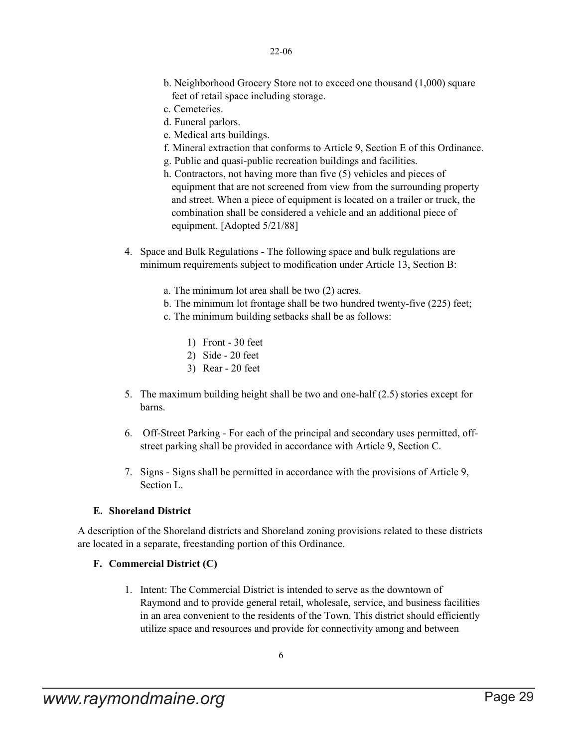- b. Neighborhood Grocery Store not to exceed one thousand (1,000) square feet of retail space including storage.
- c. Cemeteries.
- d. Funeral parlors.
- e. Medical arts buildings.
- f. Mineral extraction that conforms to Article 9, Section E of this Ordinance.
- g. Public and quasi-public recreation buildings and facilities.
- h. Contractors, not having more than five (5) vehicles and pieces of equipment that are not screened from view from the surrounding property and street. When a piece of equipment is located on a trailer or truck, the combination shall be considered a vehicle and an additional piece of equipment. [Adopted 5/21/88]
- 4. Space and Bulk Regulations The following space and bulk regulations are minimum requirements subject to modification under Article 13, Section B:
	- a. The minimum lot area shall be two (2) acres.
	- b. The minimum lot frontage shall be two hundred twenty-five (225) feet;
	- c. The minimum building setbacks shall be as follows:
		- 1) Front 30 feet
		- 2) Side 20 feet
		- 3) Rear 20 feet
- 5. The maximum building height shall be two and one-half (2.5) stories except for barns.
- 6. Off-Street Parking For each of the principal and secondary uses permitted, offstreet parking shall be provided in accordance with Article 9, Section C.
- 7. Signs Signs shall be permitted in accordance with the provisions of Article 9, Section L.

### **E. Shoreland District**

A description of the Shoreland districts and Shoreland zoning provisions related to these districts are located in a separate, freestanding portion of this Ordinance.

### **F. Commercial District (C)**

1. Intent: The Commercial District is intended to serve as the downtown of Raymond and to provide general retail, wholesale, service, and business facilities in an area convenient to the residents of the Town. This district should efficiently utilize space and resources and provide for connectivity among and between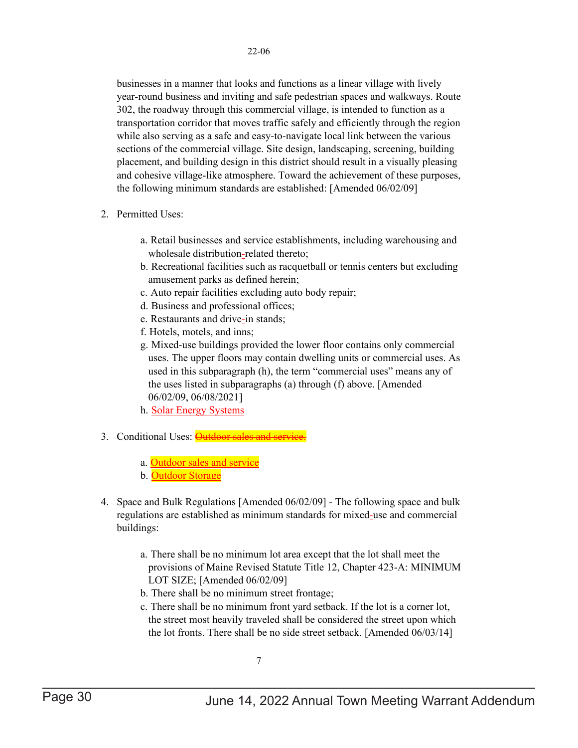businesses in a manner that looks and functions as a linear village with lively year-round business and inviting and safe pedestrian spaces and walkways. Route 302, the roadway through this commercial village, is intended to function as a transportation corridor that moves traffic safely and efficiently through the region while also serving as a safe and easy-to-navigate local link between the various sections of the commercial village. Site design, landscaping, screening, building placement, and building design in this district should result in a visually pleasing and cohesive village-like atmosphere. Toward the achievement of these purposes, the following minimum standards are established: [Amended 06/02/09]

- 2. Permitted Uses:
	- a. Retail businesses and service establishments, including warehousing and wholesale distribution-related thereto;
	- b. Recreational facilities such as racquetball or tennis centers but excluding amusement parks as defined herein;
	- c. Auto repair facilities excluding auto body repair;
	- d. Business and professional offices;
	- e. Restaurants and drive-in stands;
	- f. Hotels, motels, and inns;
	- g. Mixed-use buildings provided the lower floor contains only commercial uses. The upper floors may contain dwelling units or commercial uses. As used in this subparagraph (h), the term "commercial uses" means any of the uses listed in subparagraphs (a) through (f) above. [Amended 06/02/09, 06/08/2021]
	- h. Solar Energy Systems
- 3. Conditional Uses: **Outdoor sales and service** 
	- a. Outdoor sales and service
	- b. Outdoor Storage
- 4. Space and Bulk Regulations [Amended 06/02/09] The following space and bulk regulations are established as minimum standards for mixed-use and commercial buildings:
	- a. There shall be no minimum lot area except that the lot shall meet the provisions of Maine Revised Statute Title 12, Chapter 423-A: MINIMUM LOT SIZE; [Amended 06/02/09]
	- b. There shall be no minimum street frontage;
	- c. There shall be no minimum front yard setback. If the lot is a corner lot, the street most heavily traveled shall be considered the street upon which the lot fronts. There shall be no side street setback. [Amended 06/03/14]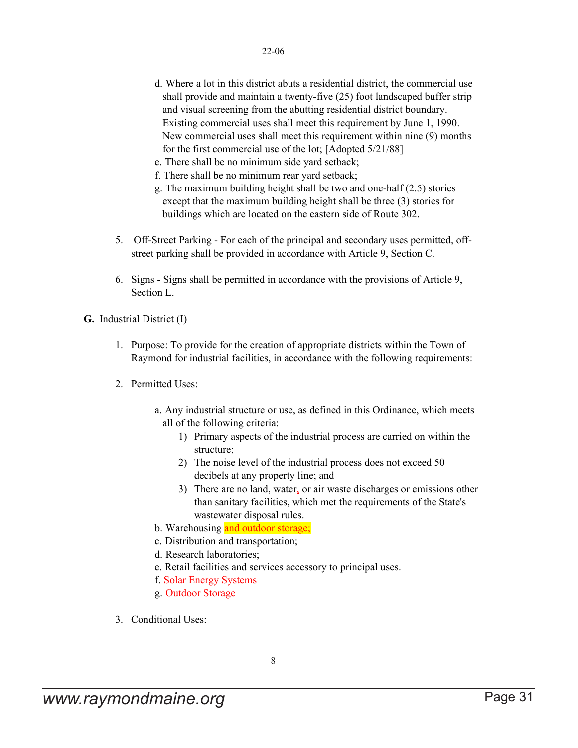- d. Where a lot in this district abuts a residential district, the commercial use shall provide and maintain a twenty-five (25) foot landscaped buffer strip and visual screening from the abutting residential district boundary. Existing commercial uses shall meet this requirement by June 1, 1990. New commercial uses shall meet this requirement within nine (9) months for the first commercial use of the lot; [Adopted 5/21/88]
- e. There shall be no minimum side yard setback;
- f. There shall be no minimum rear yard setback;
- g. The maximum building height shall be two and one-half (2.5) stories except that the maximum building height shall be three (3) stories for buildings which are located on the eastern side of Route 302.
- 5. Off-Street Parking For each of the principal and secondary uses permitted, offstreet parking shall be provided in accordance with Article 9, Section C.
- 6. Signs Signs shall be permitted in accordance with the provisions of Article 9, Section L.

**G.** Industrial District (I)

- 1. Purpose: To provide for the creation of appropriate districts within the Town of Raymond for industrial facilities, in accordance with the following requirements:
- 2. Permitted Uses:
	- a. Any industrial structure or use, as defined in this Ordinance, which meets all of the following criteria:
		- 1) Primary aspects of the industrial process are carried on within the structure;
		- 2) The noise level of the industrial process does not exceed 50 decibels at any property line; and
		- 3) There are no land, water, or air waste discharges or emissions other than sanitary facilities, which met the requirements of the State's wastewater disposal rules.
	- b. Warehousing and outdoor storage;
	- c. Distribution and transportation;
	- d. Research laboratories;
	- e. Retail facilities and services accessory to principal uses.
	- f. Solar Energy Systems
	- g. Outdoor Storage
- 3. Conditional Uses: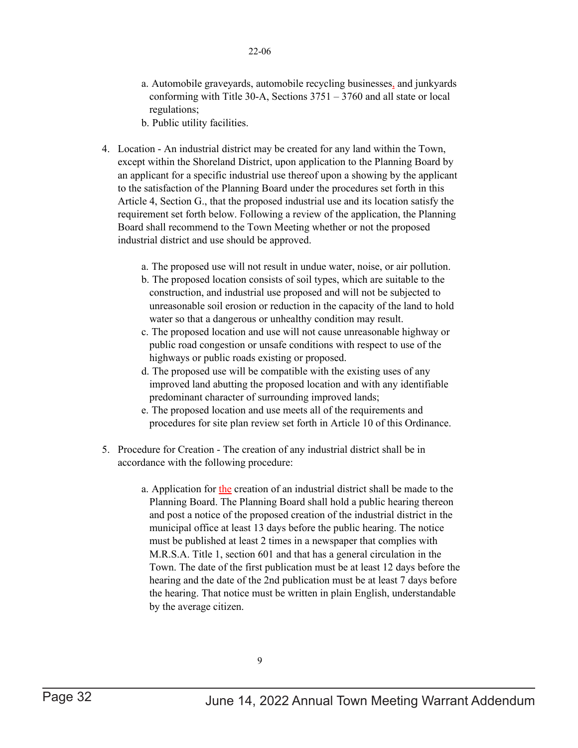- a. Automobile graveyards, automobile recycling businesses, and junkyards conforming with Title 30-A, Sections 3751 – 3760 and all state or local regulations;
- b. Public utility facilities.
- 4. Location An industrial district may be created for any land within the Town, except within the Shoreland District, upon application to the Planning Board by an applicant for a specific industrial use thereof upon a showing by the applicant to the satisfaction of the Planning Board under the procedures set forth in this Article 4, Section G., that the proposed industrial use and its location satisfy the requirement set forth below. Following a review of the application, the Planning Board shall recommend to the Town Meeting whether or not the proposed industrial district and use should be approved.
	- a. The proposed use will not result in undue water, noise, or air pollution.
	- b. The proposed location consists of soil types, which are suitable to the construction, and industrial use proposed and will not be subjected to unreasonable soil erosion or reduction in the capacity of the land to hold water so that a dangerous or unhealthy condition may result.
	- c. The proposed location and use will not cause unreasonable highway or public road congestion or unsafe conditions with respect to use of the highways or public roads existing or proposed.
	- d. The proposed use will be compatible with the existing uses of any improved land abutting the proposed location and with any identifiable predominant character of surrounding improved lands;
	- e. The proposed location and use meets all of the requirements and procedures for site plan review set forth in Article 10 of this Ordinance.
- 5. Procedure for Creation The creation of any industrial district shall be in accordance with the following procedure:
	- a. Application for the creation of an industrial district shall be made to the Planning Board. The Planning Board shall hold a public hearing thereon and post a notice of the proposed creation of the industrial district in the municipal office at least 13 days before the public hearing. The notice must be published at least 2 times in a newspaper that complies with M.R.S.A. Title 1, section 601 and that has a general circulation in the Town. The date of the first publication must be at least 12 days before the hearing and the date of the 2nd publication must be at least 7 days before the hearing. That notice must be written in plain English, understandable by the average citizen.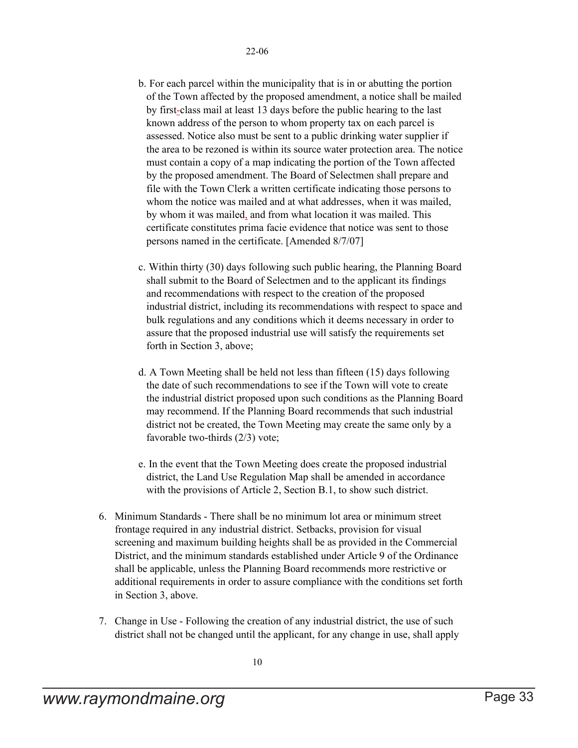- b. For each parcel within the municipality that is in or abutting the portion of the Town affected by the proposed amendment, a notice shall be mailed by first-class mail at least 13 days before the public hearing to the last known address of the person to whom property tax on each parcel is assessed. Notice also must be sent to a public drinking water supplier if the area to be rezoned is within its source water protection area. The notice must contain a copy of a map indicating the portion of the Town affected by the proposed amendment. The Board of Selectmen shall prepare and file with the Town Clerk a written certificate indicating those persons to whom the notice was mailed and at what addresses, when it was mailed, by whom it was mailed, and from what location it was mailed. This certificate constitutes prima facie evidence that notice was sent to those persons named in the certificate. [Amended 8/7/07]
- c. Within thirty (30) days following such public hearing, the Planning Board shall submit to the Board of Selectmen and to the applicant its findings and recommendations with respect to the creation of the proposed industrial district, including its recommendations with respect to space and bulk regulations and any conditions which it deems necessary in order to assure that the proposed industrial use will satisfy the requirements set forth in Section 3, above;
- d. A Town Meeting shall be held not less than fifteen (15) days following the date of such recommendations to see if the Town will vote to create the industrial district proposed upon such conditions as the Planning Board may recommend. If the Planning Board recommends that such industrial district not be created, the Town Meeting may create the same only by a favorable two-thirds (2/3) vote;
- e. In the event that the Town Meeting does create the proposed industrial district, the Land Use Regulation Map shall be amended in accordance with the provisions of Article 2, Section B.1, to show such district.
- 6. Minimum Standards There shall be no minimum lot area or minimum street frontage required in any industrial district. Setbacks, provision for visual screening and maximum building heights shall be as provided in the Commercial District, and the minimum standards established under Article 9 of the Ordinance shall be applicable, unless the Planning Board recommends more restrictive or additional requirements in order to assure compliance with the conditions set forth in Section 3, above.
- 7. Change in Use Following the creation of any industrial district, the use of such district shall not be changed until the applicant, for any change in use, shall apply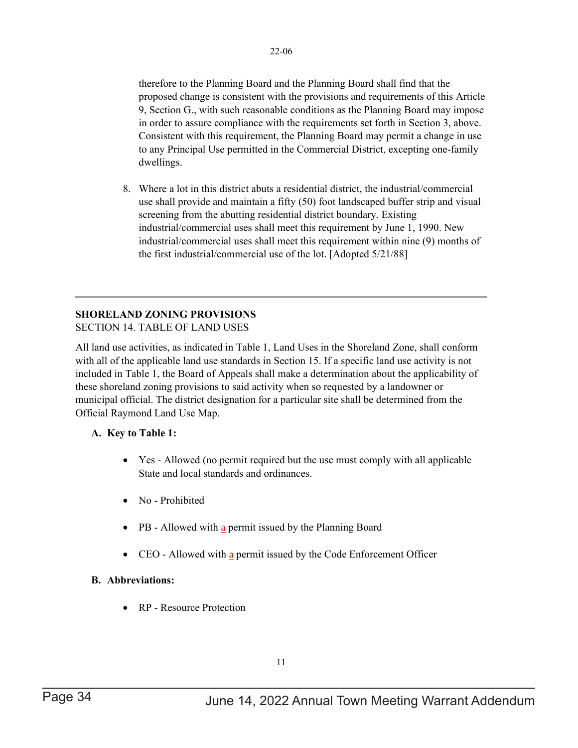therefore to the Planning Board and the Planning Board shall find that the proposed change is consistent with the provisions and requirements of this Article 9, Section G., with such reasonable conditions as the Planning Board may impose in order to assure compliance with the requirements set forth in Section 3, above. Consistent with this requirement, the Planning Board may permit a change in use to any Principal Use permitted in the Commercial District, excepting one-family dwellings.

8. Where a lot in this district abuts a residential district, the industrial/commercial use shall provide and maintain a fifty (50) foot landscaped buffer strip and visual screening from the abutting residential district boundary. Existing industrial/commercial uses shall meet this requirement by June 1, 1990. New industrial/commercial uses shall meet this requirement within nine (9) months of the first industrial/commercial use of the lot. [Adopted 5/21/88]

### **SHORELAND ZONING PROVISIONS**

SECTION 14. TABLE OF LAND USES

All land use activities, as indicated in Table 1, Land Uses in the Shoreland Zone, shall conform with all of the applicable land use standards in Section 15. If a specific land use activity is not included in Table 1, the Board of Appeals shall make a determination about the applicability of these shoreland zoning provisions to said activity when so requested by a landowner or municipal official. The district designation for a particular site shall be determined from the Official Raymond Land Use Map.

### **A. Key to Table 1:**

- Yes Allowed (no permit required but the use must comply with all applicable State and local standards and ordinances.
- No Prohibited
- PB Allowed with a permit issued by the Planning Board
- CEO Allowed with a permit issued by the Code Enforcement Officer

### **B. Abbreviations:**

• RP - Resource Protection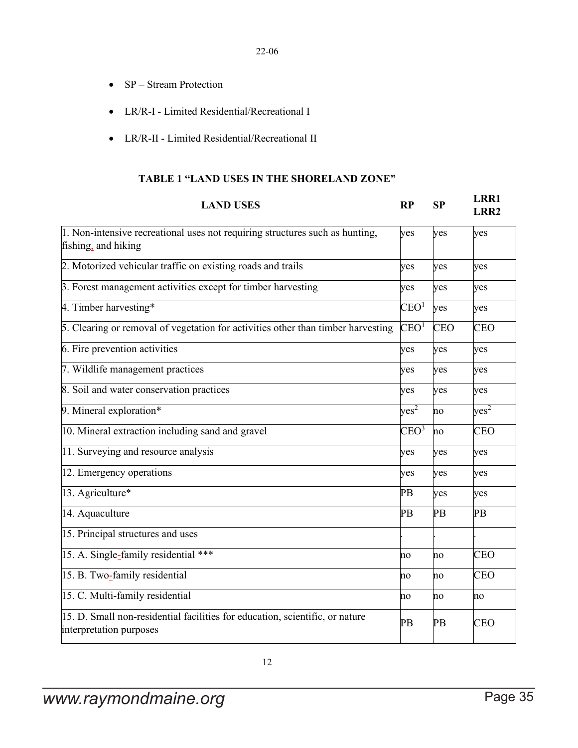- SP Stream Protection
- LR/R-I Limited Residential/Recreational I
- LR/R-II Limited Residential/Recreational II

### **TABLE 1 "LAND USES IN THE SHORELAND ZONE"**

| <b>LAND USES</b>                                                                                        | RP               | SP         | LRR1<br><b>LRR2</b> |
|---------------------------------------------------------------------------------------------------------|------------------|------------|---------------------|
| 1. Non-intensive recreational uses not requiring structures such as hunting,<br>fishing, and hiking     | yes              | yes        | yes                 |
| 2. Motorized vehicular traffic on existing roads and trails                                             | yes              | yes        | yes                 |
| 3. Forest management activities except for timber harvesting                                            | yes              | yes        | yes                 |
| 4. Timber harvesting*                                                                                   | $\rm CEO^1$      | yes        | yes                 |
| 5. Clearing or removal of vegetation for activities other than timber harvesting                        | $\rm CEO^1$      | <b>CEO</b> | <b>CEO</b>          |
| 6. Fire prevention activities                                                                           | yes              | yes        | yes                 |
| 7. Wildlife management practices                                                                        | yes              | yes        | yes                 |
| 8. Soil and water conservation practices                                                                | yes              | yes        | yes                 |
| 9. Mineral exploration*                                                                                 | yes <sup>2</sup> | no         | yes <sup>2</sup>    |
| 10. Mineral extraction including sand and gravel                                                        | CEO <sup>3</sup> | no         | <b>CEO</b>          |
| 11. Surveying and resource analysis                                                                     | yes              | yes        | yes                 |
| 12. Emergency operations                                                                                | yes              | yes        | yes                 |
| 13. Agriculture*                                                                                        | PB               | yes        | yes                 |
| 14. Aquaculture                                                                                         | PB               | PB         | PB                  |
| 15. Principal structures and uses                                                                       |                  |            |                     |
| 15. A. Single-family residential ***                                                                    | no               | no         | <b>CEO</b>          |
| 15. B. Two-family residential                                                                           | no               | no         | <b>CEO</b>          |
| 15. C. Multi-family residential                                                                         | no               | no         | no                  |
| 15. D. Small non-residential facilities for education, scientific, or nature<br>interpretation purposes | PB               | PB         | <b>CEO</b>          |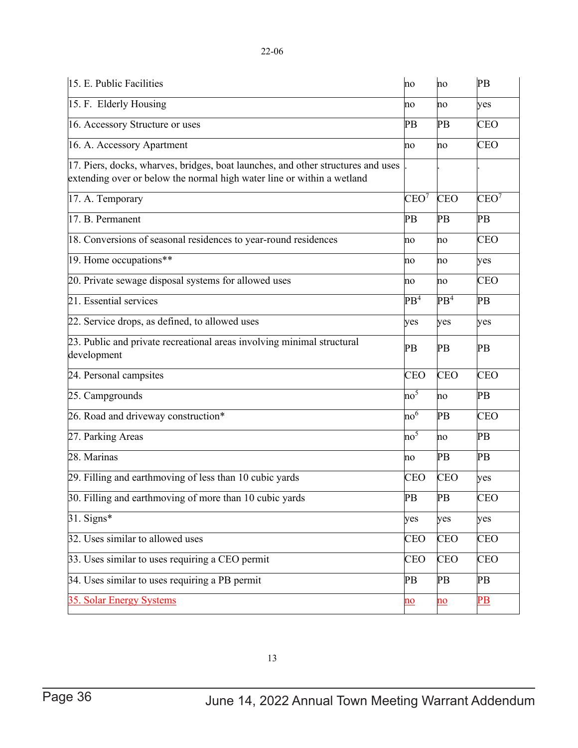| 15. E. Public Facilities                                                                                                                                   | no                                | no                        | PB                     |
|------------------------------------------------------------------------------------------------------------------------------------------------------------|-----------------------------------|---------------------------|------------------------|
| 15. F. Elderly Housing                                                                                                                                     | no                                | no                        | yes                    |
| 16. Accessory Structure or uses                                                                                                                            | PB                                | PB                        | <b>CEO</b>             |
| 16. A. Accessory Apartment                                                                                                                                 | no                                | no                        | <b>CEO</b>             |
| 17. Piers, docks, wharves, bridges, boat launches, and other structures and uses<br>extending over or below the normal high water line or within a wetland |                                   |                           |                        |
| 17. A. Temporary                                                                                                                                           | CEO <sup>7</sup>                  | <b>CEO</b>                | CEO <sup>7</sup>       |
| 17. B. Permanent                                                                                                                                           | PB                                | PB                        | PB                     |
| 18. Conversions of seasonal residences to year-round residences                                                                                            | no                                | no                        | <b>CEO</b>             |
| 19. Home occupations**                                                                                                                                     | no                                | no                        | yes                    |
| 20. Private sewage disposal systems for allowed uses                                                                                                       | no                                | no                        | <b>CEO</b>             |
| 21. Essential services                                                                                                                                     | PB <sup>4</sup>                   | PB <sup>4</sup>           | PB                     |
| 22. Service drops, as defined, to allowed uses                                                                                                             | yes                               | yes                       | yes                    |
| 23. Public and private recreational areas involving minimal structural<br>development                                                                      | PB                                | PB                        | PB                     |
| 24. Personal campsites                                                                                                                                     | CEO                               | <b>CEO</b>                | <b>CEO</b>             |
| 25. Campgrounds                                                                                                                                            | no <sup>5</sup>                   | no                        | PB                     |
| 26. Road and driveway construction*                                                                                                                        | $\mathop{\mathrm{no}}\nolimits^6$ | PB                        | <b>CEO</b>             |
| 27. Parking Areas                                                                                                                                          | no <sup>5</sup>                   | no                        | PB                     |
| 28. Marinas                                                                                                                                                | no                                | PB                        | PB                     |
| 29. Filling and earthmoving of less than 10 cubic yards                                                                                                    | CEO                               | <b>CEO</b>                | yes                    |
| 30. Filling and earthmoving of more than 10 cubic yards                                                                                                    | PB                                | PB                        | CEO                    |
| $31.$ Signs*                                                                                                                                               | yes                               | yes                       | yes                    |
| 32. Uses similar to allowed uses                                                                                                                           | <b>CEO</b>                        | <b>CEO</b>                | <b>CEO</b>             |
| 33. Uses similar to uses requiring a CEO permit                                                                                                            | <b>CEO</b>                        | <b>CEO</b>                | <b>CEO</b>             |
| 34. Uses similar to uses requiring a PB permit                                                                                                             | PB                                | PB                        | PB                     |
| 35. Solar Energy Systems                                                                                                                                   | $\underline{\mathbf{no}}$         | $\underline{\mathbf{no}}$ | $\overline{\text{PB}}$ |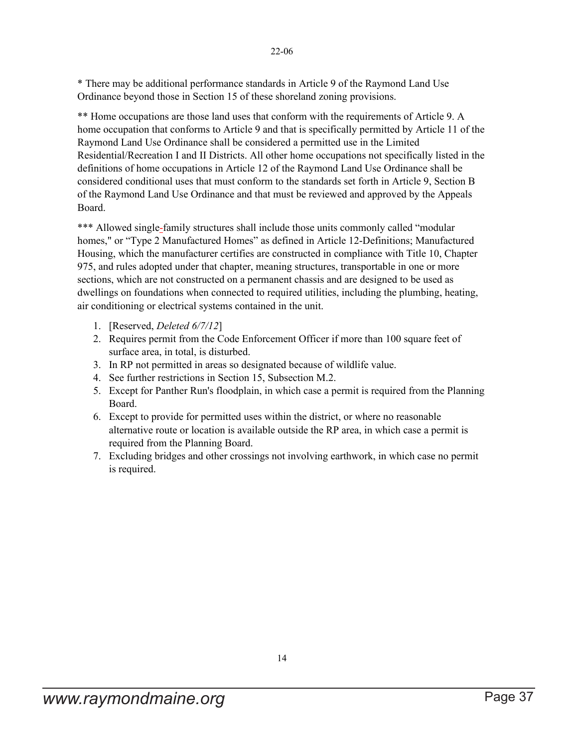22-06

\* There may be additional performance standards in Article 9 of the Raymond Land Use Ordinance beyond those in Section 15 of these shoreland zoning provisions.

\*\* Home occupations are those land uses that conform with the requirements of Article 9. A home occupation that conforms to Article 9 and that is specifically permitted by Article 11 of the Raymond Land Use Ordinance shall be considered a permitted use in the Limited Residential/Recreation I and II Districts. All other home occupations not specifically listed in the definitions of home occupations in Article 12 of the Raymond Land Use Ordinance shall be considered conditional uses that must conform to the standards set forth in Article 9, Section B of the Raymond Land Use Ordinance and that must be reviewed and approved by the Appeals Board.

\*\*\* Allowed single-family structures shall include those units commonly called "modular homes," or "Type 2 Manufactured Homes" as defined in Article 12-Definitions; Manufactured Housing, which the manufacturer certifies are constructed in compliance with Title 10, Chapter 975, and rules adopted under that chapter, meaning structures, transportable in one or more sections, which are not constructed on a permanent chassis and are designed to be used as dwellings on foundations when connected to required utilities, including the plumbing, heating, air conditioning or electrical systems contained in the unit.

- 1. [Reserved, *Deleted 6/7/12*]
- 2. Requires permit from the Code Enforcement Officer if more than 100 square feet of surface area, in total, is disturbed.
- 3. In RP not permitted in areas so designated because of wildlife value.
- 4. See further restrictions in Section 15, Subsection M.2.
- 5. Except for Panther Run's floodplain, in which case a permit is required from the Planning Board.
- 6. Except to provide for permitted uses within the district, or where no reasonable alternative route or location is available outside the RP area, in which case a permit is required from the Planning Board.
- 7. Excluding bridges and other crossings not involving earthwork, in which case no permit is required.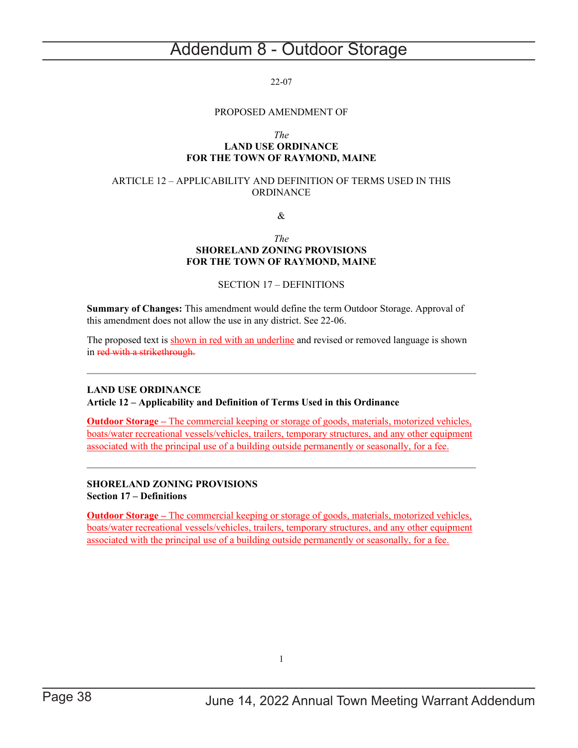## <span id="page-37-0"></span>Addendum 8 - Outdoor Storage

#### 22-07

#### PROPOSED AMENDMENT OF

#### *The*

### **LAND USE ORDINANCE FOR THE TOWN OF RAYMOND, MAINE**

#### ARTICLE 12 – APPLICABILITY AND DEFINITION OF TERMS USED IN THIS ORDINANCE

&

#### *The* **SHORELAND ZONING PROVISIONS FOR THE TOWN OF RAYMOND, MAINE**

#### SECTION 17 – DEFINITIONS

**Summary of Changes:** This amendment would define the term Outdoor Storage. Approval of this amendment does not allow the use in any district. See 22-06.

The proposed text is shown in red with an underline and revised or removed language is shown in red with a strikethrough.

### **LAND USE ORDINANCE**

**Article 12 – Applicability and Definition of Terms Used in this Ordinance**

**Outdoor Storage –** The commercial keeping or storage of goods, materials, motorized vehicles, boats/water recreational vessels/vehicles, trailers, temporary structures, and any other equipment associated with the principal use of a building outside permanently or seasonally, for a fee.

### **SHORELAND ZONING PROVISIONS Section 17 – Definitions**

**Outdoor Storage –** The commercial keeping or storage of goods, materials, motorized vehicles, boats/water recreational vessels/vehicles, trailers, temporary structures, and any other equipment associated with the principal use of a building outside permanently or seasonally, for a fee.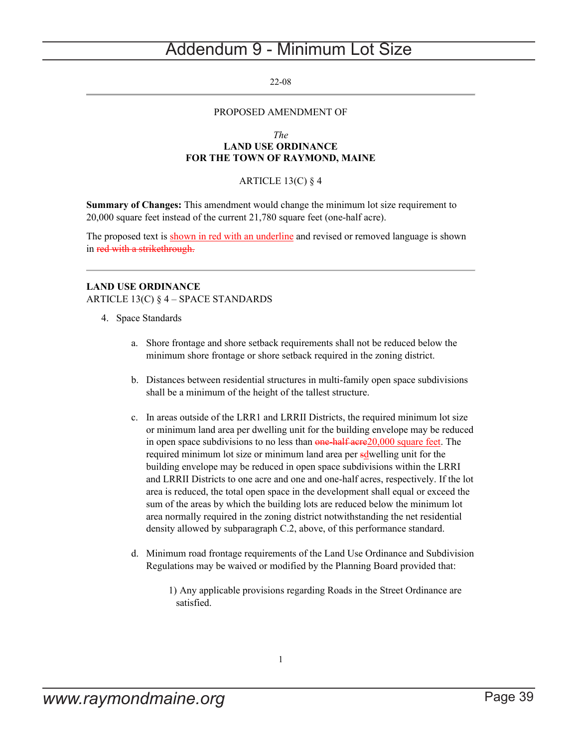## <span id="page-38-0"></span>Addendum 9 - Minimum Lot Size

#### 22-08

#### PROPOSED AMENDMENT OF

#### *The* **LAND USE ORDINANCE FOR THE TOWN OF RAYMOND, MAINE**

#### ARTICLE 13(C)  $§$  4

**Summary of Changes:** This amendment would change the minimum lot size requirement to 20,000 square feet instead of the current 21,780 square feet (one-half acre).

The proposed text is shown in red with an underline and revised or removed language is shown in red with a strikethrough.

### **LAND USE ORDINANCE**

ARTICLE 13(C) § 4 – SPACE STANDARDS

- 4. Space Standards
	- a. Shore frontage and shore setback requirements shall not be reduced below the minimum shore frontage or shore setback required in the zoning district.
	- b. Distances between residential structures in multi-family open space subdivisions shall be a minimum of the height of the tallest structure.
	- c. In areas outside of the LRR1 and LRRII Districts, the required minimum lot size or minimum land area per dwelling unit for the building envelope may be reduced in open space subdivisions to no less than one-half acre 20,000 square feet. The required minimum lot size or minimum land area per solwelling unit for the building envelope may be reduced in open space subdivisions within the LRRI and LRRII Districts to one acre and one and one-half acres, respectively. If the lot area is reduced, the total open space in the development shall equal or exceed the sum of the areas by which the building lots are reduced below the minimum lot area normally required in the zoning district notwithstanding the net residential density allowed by subparagraph C.2, above, of this performance standard.
	- d. Minimum road frontage requirements of the Land Use Ordinance and Subdivision Regulations may be waived or modified by the Planning Board provided that:
		- 1) Any applicable provisions regarding Roads in the Street Ordinance are satisfied.